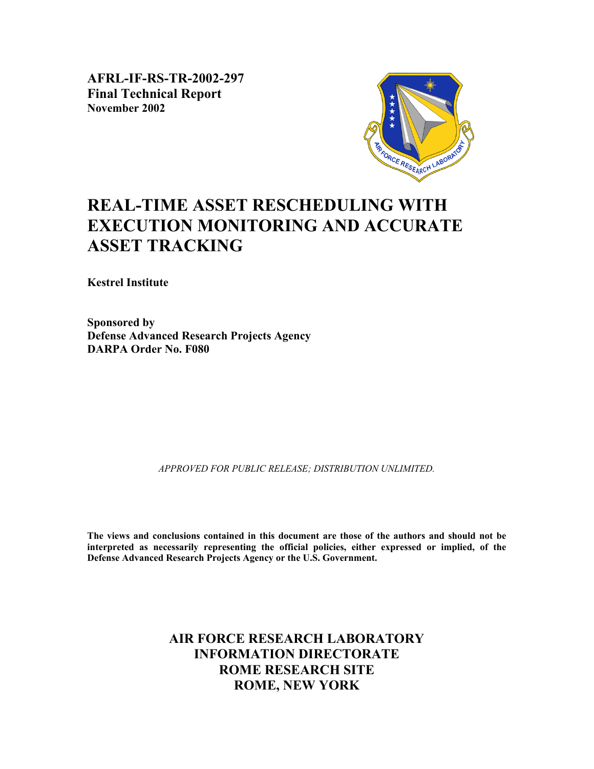**AFRL-IF-RS-TR-2002-297 Final Technical Report November 2002** 



# **REAL-TIME ASSET RESCHEDULING WITH EXECUTION MONITORING AND ACCURATE ASSET TRACKING**

**Kestrel Institute** 

**Sponsored by Defense Advanced Research Projects Agency DARPA Order No. F080** 

*APPROVED FOR PUBLIC RELEASE; DISTRIBUTION UNLIMITED.*

**The views and conclusions contained in this document are those of the authors and should not be interpreted as necessarily representing the official policies, either expressed or implied, of the Defense Advanced Research Projects Agency or the U.S. Government.**

## **AIR FORCE RESEARCH LABORATORY INFORMATION DIRECTORATE ROME RESEARCH SITE ROME, NEW YORK**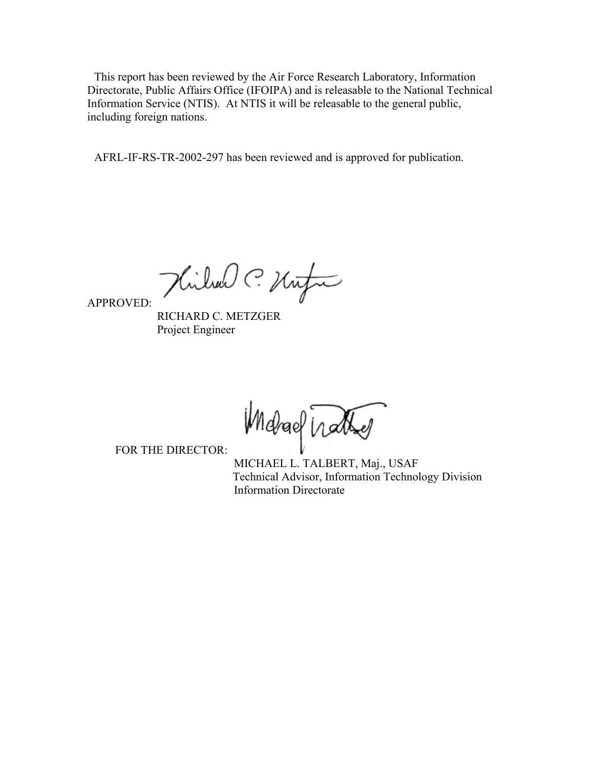This report has been reviewed by the Air Force Research Laboratory, Information Directorate, Public Affairs Office (IFOIPA) and is releasable to the National Technical Information Service (NTIS). At NTIS it will be releasable to the general public, including foreign nations.

AFRL-IF-RS-TR-2002-297 has been reviewed and is approved for publication.

Hilland C. Unfor

APPROVED:

 RICHARD C. METZGER Project Engineer

Modrael Trather

FOR THE DIRECTOR:

 MICHAEL L. TALBERT, Maj., USAF Technical Advisor, Information Technology Division Information Directorate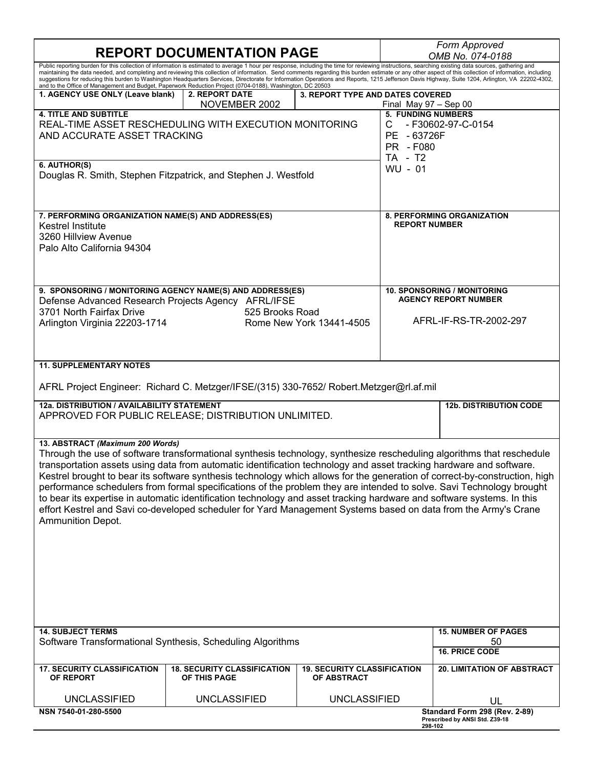# **REPORT DOCUMENTATION PAGE**

| Form Approved    |  |
|------------------|--|
| OMB No. 074-0188 |  |

| Public reporting burden for this collection of information is estimated to average 1 hour per response, including the time for reviewing instructions, searching existing data sources, gathering and<br>maintaining the data needed, and completing and reviewing this collection of information. Send comments regarding this burden estimate or any other aspect of this collection of information, including<br>suggestions for reducing this burden to Washington Headquarters Services, Directorate for Information Operations and Reports, 1215 Jefferson Davis Highway, Suite 1204, Arlington, VA 22202-4302,<br>and to the Office of Management and Budget, Paperwork Reduction Project (0704-0188), Washington, DC 20503                                                                             |                                                    |                                                          |                      |                                                                                             |  |  |
|----------------------------------------------------------------------------------------------------------------------------------------------------------------------------------------------------------------------------------------------------------------------------------------------------------------------------------------------------------------------------------------------------------------------------------------------------------------------------------------------------------------------------------------------------------------------------------------------------------------------------------------------------------------------------------------------------------------------------------------------------------------------------------------------------------------|----------------------------------------------------|----------------------------------------------------------|----------------------|---------------------------------------------------------------------------------------------|--|--|
| 1. AGENCY USE ONLY (Leave blank)                                                                                                                                                                                                                                                                                                                                                                                                                                                                                                                                                                                                                                                                                                                                                                               | 2. REPORT DATE<br>3. REPORT TYPE AND DATES COVERED |                                                          |                      |                                                                                             |  |  |
| NOVEMBER 2002<br>Final May $97 -$ Sep 00<br><b>5. FUNDING NUMBERS</b><br><b>4. TITLE AND SUBTITLE</b><br>REAL-TIME ASSET RESCHEDULING WITH EXECUTION MONITORING<br>С<br>AND ACCURATE ASSET TRACKING<br>PE - 63726F<br>PR - F080<br>TA - T2                                                                                                                                                                                                                                                                                                                                                                                                                                                                                                                                                                     |                                                    |                                                          |                      | - F30602-97-C-0154                                                                          |  |  |
| 6. AUTHOR(S)<br>WU - 01<br>Douglas R. Smith, Stephen Fitzpatrick, and Stephen J. Westfold                                                                                                                                                                                                                                                                                                                                                                                                                                                                                                                                                                                                                                                                                                                      |                                                    |                                                          |                      |                                                                                             |  |  |
| 7. PERFORMING ORGANIZATION NAME(S) AND ADDRESS(ES)<br><b>Kestrel Institute</b><br>3260 Hillview Avenue<br>Palo Alto California 94304                                                                                                                                                                                                                                                                                                                                                                                                                                                                                                                                                                                                                                                                           |                                                    |                                                          | <b>REPORT NUMBER</b> | <b>8. PERFORMING ORGANIZATION</b>                                                           |  |  |
| 9. SPONSORING / MONITORING AGENCY NAME(S) AND ADDRESS(ES)<br>Defense Advanced Research Projects Agency AFRL/IFSE<br>3701 North Fairfax Drive<br>Arlington Virginia 22203-1714                                                                                                                                                                                                                                                                                                                                                                                                                                                                                                                                                                                                                                  |                                                    | 525 Brooks Road<br>Rome New York 13441-4505              |                      | <b>10. SPONSORING / MONITORING</b><br><b>AGENCY REPORT NUMBER</b><br>AFRL-IF-RS-TR-2002-297 |  |  |
| <b>11. SUPPLEMENTARY NOTES</b>                                                                                                                                                                                                                                                                                                                                                                                                                                                                                                                                                                                                                                                                                                                                                                                 |                                                    |                                                          |                      |                                                                                             |  |  |
| AFRL Project Engineer: Richard C. Metzger/IFSE/(315) 330-7652/ Robert.Metzger@rl.af.mil                                                                                                                                                                                                                                                                                                                                                                                                                                                                                                                                                                                                                                                                                                                        |                                                    |                                                          |                      |                                                                                             |  |  |
| 12a. DISTRIBUTION / AVAILABILITY STATEMENT<br>APPROVED FOR PUBLIC RELEASE; DISTRIBUTION UNLIMITED.                                                                                                                                                                                                                                                                                                                                                                                                                                                                                                                                                                                                                                                                                                             |                                                    |                                                          |                      | <b>12b. DISTRIBUTION CODE</b>                                                               |  |  |
| 13. ABSTRACT (Maximum 200 Words)<br>Through the use of software transformational synthesis technology, synthesize rescheduling algorithms that reschedule<br>transportation assets using data from automatic identification technology and asset tracking hardware and software.<br>Kestrel brought to bear its software synthesis technology which allows for the generation of correct-by-construction, high<br>performance schedulers from formal specifications of the problem they are intended to solve. Savi Technology brought<br>to bear its expertise in automatic identification technology and asset tracking hardware and software systems. In this<br>effort Kestrel and Savi co-developed scheduler for Yard Management Systems based on data from the Army's Crane<br><b>Ammunition Depot.</b> |                                                    |                                                          |                      |                                                                                             |  |  |
|                                                                                                                                                                                                                                                                                                                                                                                                                                                                                                                                                                                                                                                                                                                                                                                                                |                                                    |                                                          |                      |                                                                                             |  |  |
| <b>14. SUBJECT TERMS</b><br>Software Transformational Synthesis, Scheduling Algorithms                                                                                                                                                                                                                                                                                                                                                                                                                                                                                                                                                                                                                                                                                                                         |                                                    |                                                          |                      | <b>15. NUMBER OF PAGES</b><br>50<br><b>16. PRICE CODE</b>                                   |  |  |
| <b>17. SECURITY CLASSIFICATION</b><br>OF REPORT                                                                                                                                                                                                                                                                                                                                                                                                                                                                                                                                                                                                                                                                                                                                                                | <b>18. SECURITY CLASSIFICATION</b><br>OF THIS PAGE | <b>19. SECURITY CLASSIFICATION</b><br><b>OF ABSTRACT</b> |                      | <b>20. LIMITATION OF ABSTRACT</b>                                                           |  |  |
| <b>UNCLASSIFIED</b>                                                                                                                                                                                                                                                                                                                                                                                                                                                                                                                                                                                                                                                                                                                                                                                            | <b>UNCLASSIFIED</b>                                | <b>UNCLASSIFIED</b>                                      |                      | UL                                                                                          |  |  |
| NSN 7540-01-280-5500                                                                                                                                                                                                                                                                                                                                                                                                                                                                                                                                                                                                                                                                                                                                                                                           |                                                    |                                                          |                      | Standard Form 298 (Rev. 2-89)<br>Prescribed by ANSI Std. Z39-18                             |  |  |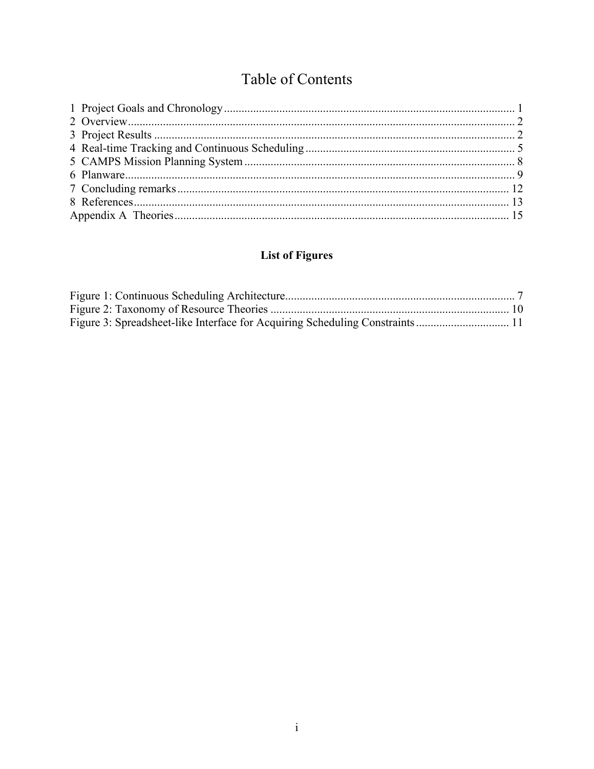# Table of Contents

## **List of Figures**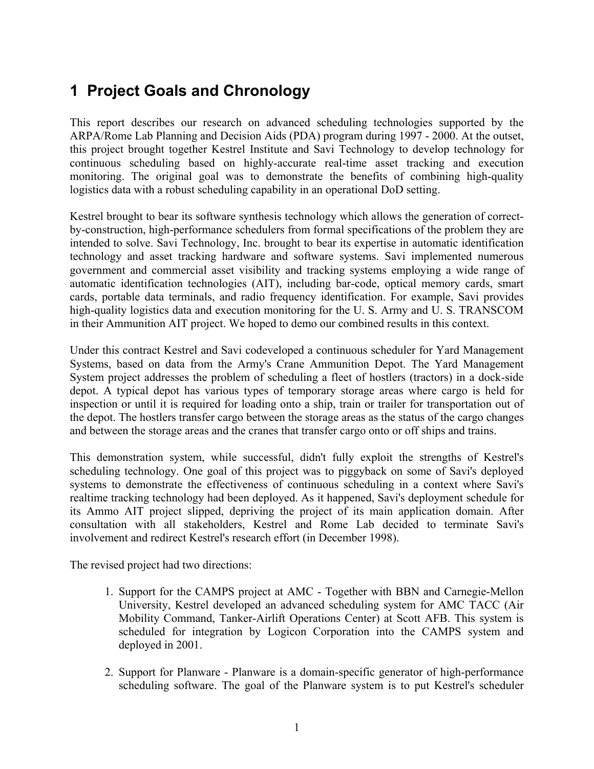# **1 Project Goals and Chronology**

This report describes our research on advanced scheduling technologies supported by the ARPA/Rome Lab Planning and Decision Aids (PDA) program during 1997 - 2000. At the outset, this project brought together Kestrel Institute and Savi Technology to develop technology for continuous scheduling based on highly-accurate real-time asset tracking and execution monitoring. The original goal was to demonstrate the benefits of combining high-quality logistics data with a robust scheduling capability in an operational DoD setting.

Kestrel brought to bear its software synthesis technology which allows the generation of correctby-construction, high-performance schedulers from formal specifications of the problem they are intended to solve. Savi Technology, Inc. brought to bear its expertise in automatic identification technology and asset tracking hardware and software systems. Savi implemented numerous government and commercial asset visibility and tracking systems employing a wide range of automatic identification technologies (AIT), including bar-code, optical memory cards, smart cards, portable data terminals, and radio frequency identification. For example, Savi provides high-quality logistics data and execution monitoring for the U. S. Army and U. S. TRANSCOM in their Ammunition AIT project. We hoped to demo our combined results in this context.

Under this contract Kestrel and Savi codeveloped a continuous scheduler for Yard Management Systems, based on data from the Army's Crane Ammunition Depot. The Yard Management System project addresses the problem of scheduling a fleet of hostlers (tractors) in a dock-side depot. A typical depot has various types of temporary storage areas where cargo is held for inspection or until it is required for loading onto a ship, train or trailer for transportation out of the depot. The hostlers transfer cargo between the storage areas as the status of the cargo changes and between the storage areas and the cranes that transfer cargo onto or off ships and trains.

This demonstration system, while successful, didn't fully exploit the strengths of Kestrel's scheduling technology. One goal of this project was to piggyback on some of Savi's deployed systems to demonstrate the effectiveness of continuous scheduling in a context where Savi's realtime tracking technology had been deployed. As it happened, Savi's deployment schedule for its Ammo AIT project slipped, depriving the project of its main application domain. After consultation with all stakeholders, Kestrel and Rome Lab decided to terminate Savi's involvement and redirect Kestrel's research effort (in December 1998).

The revised project had two directions:

- 1. Support for the CAMPS project at AMC Together with BBN and Carnegie-Mellon University, Kestrel developed an advanced scheduling system for AMC TACC (Air Mobility Command, Tanker-Airlift Operations Center) at Scott AFB. This system is scheduled for integration by Logicon Corporation into the CAMPS system and deployed in 2001.
- 2. Support for Planware Planware is a domain-specific generator of high-performance scheduling software. The goal of the Planware system is to put Kestrel's scheduler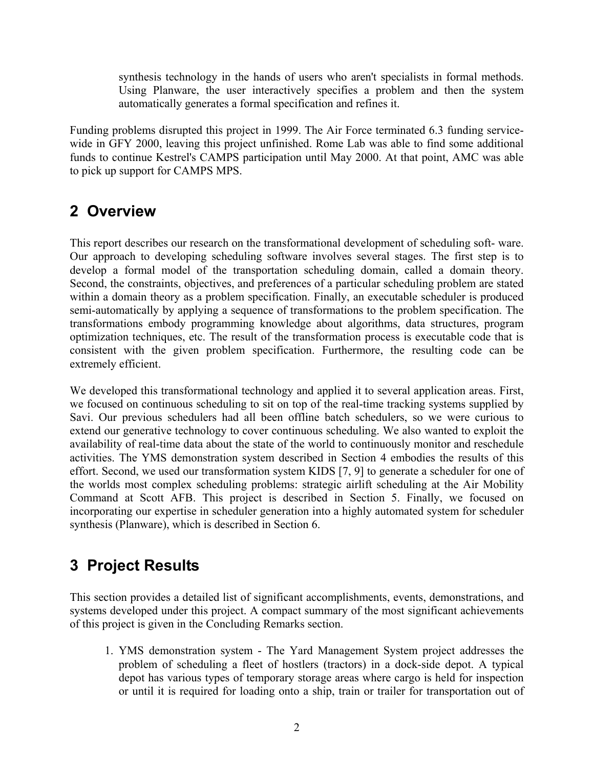synthesis technology in the hands of users who aren't specialists in formal methods. Using Planware, the user interactively specifies a problem and then the system automatically generates a formal specification and refines it.

Funding problems disrupted this project in 1999. The Air Force terminated 6.3 funding servicewide in GFY 2000, leaving this project unfinished. Rome Lab was able to find some additional funds to continue Kestrel's CAMPS participation until May 2000. At that point, AMC was able to pick up support for CAMPS MPS.

# **2 Overview**

This report describes our research on the transformational development of scheduling soft- ware. Our approach to developing scheduling software involves several stages. The first step is to develop a formal model of the transportation scheduling domain, called a domain theory. Second, the constraints, objectives, and preferences of a particular scheduling problem are stated within a domain theory as a problem specification. Finally, an executable scheduler is produced semi-automatically by applying a sequence of transformations to the problem specification. The transformations embody programming knowledge about algorithms, data structures, program optimization techniques, etc. The result of the transformation process is executable code that is consistent with the given problem specification. Furthermore, the resulting code can be extremely efficient.

We developed this transformational technology and applied it to several application areas. First, we focused on continuous scheduling to sit on top of the real-time tracking systems supplied by Savi. Our previous schedulers had all been offline batch schedulers, so we were curious to extend our generative technology to cover continuous scheduling. We also wanted to exploit the availability of real-time data about the state of the world to continuously monitor and reschedule activities. The YMS demonstration system described in Section 4 embodies the results of this effort. Second, we used our transformation system KIDS [7, 9] to generate a scheduler for one of the worlds most complex scheduling problems: strategic airlift scheduling at the Air Mobility Command at Scott AFB. This project is described in Section 5. Finally, we focused on incorporating our expertise in scheduler generation into a highly automated system for scheduler synthesis (Planware), which is described in Section 6.

# **3 Project Results**

This section provides a detailed list of significant accomplishments, events, demonstrations, and systems developed under this project. A compact summary of the most significant achievements of this project is given in the Concluding Remarks section.

1. YMS demonstration system - The Yard Management System project addresses the problem of scheduling a fleet of hostlers (tractors) in a dock-side depot. A typical depot has various types of temporary storage areas where cargo is held for inspection or until it is required for loading onto a ship, train or trailer for transportation out of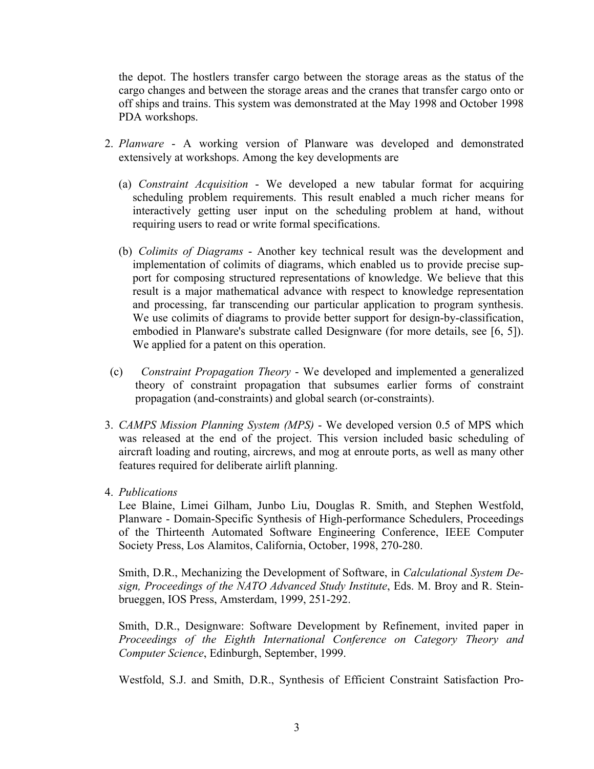the depot. The hostlers transfer cargo between the storage areas as the status of the cargo changes and between the storage areas and the cranes that transfer cargo onto or off ships and trains. This system was demonstrated at the May 1998 and October 1998 PDA workshops.

- 2. *Planware* A working version of Planware was developed and demonstrated extensively at workshops. Among the key developments are
	- (a) *Constraint Acquisition* We developed a new tabular format for acquiring scheduling problem requirements. This result enabled a much richer means for interactively getting user input on the scheduling problem at hand, without requiring users to read or write formal specifications.
	- (b) *Colimits of Diagrams* Another key technical result was the development and implementation of colimits of diagrams, which enabled us to provide precise support for composing structured representations of knowledge. We believe that this result is a major mathematical advance with respect to knowledge representation and processing, far transcending our particular application to program synthesis. We use colimits of diagrams to provide better support for design-by-classification, embodied in Planware's substrate called Designware (for more details, see [6, 5]). We applied for a patent on this operation.
- (c) *Constraint Propagation Theory* We developed and implemented a generalized theory of constraint propagation that subsumes earlier forms of constraint propagation (and-constraints) and global search (or-constraints).
- 3. *CAMPS Mission Planning System (MPS)* We developed version 0.5 of MPS which was released at the end of the project. This version included basic scheduling of aircraft loading and routing, aircrews, and mog at enroute ports, as well as many other features required for deliberate airlift planning.
- 4. *Publications*

Lee Blaine, Limei Gilham, Junbo Liu, Douglas R. Smith, and Stephen Westfold, Planware - Domain-Specific Synthesis of High-performance Schedulers, Proceedings of the Thirteenth Automated Software Engineering Conference, IEEE Computer Society Press, Los Alamitos, California, October, 1998, 270-280.

Smith, D.R., Mechanizing the Development of Software, in *Calculational System Design, Proceedings of the NATO Advanced Study Institute*, Eds. M. Broy and R. Steinbrueggen, IOS Press, Amsterdam, 1999, 251-292.

Smith, D.R., Designware: Software Development by Refinement, invited paper in *Proceedings of the Eighth International Conference on Category Theory and Computer Science*, Edinburgh, September, 1999.

Westfold, S.J. and Smith, D.R., Synthesis of Efficient Constraint Satisfaction Pro-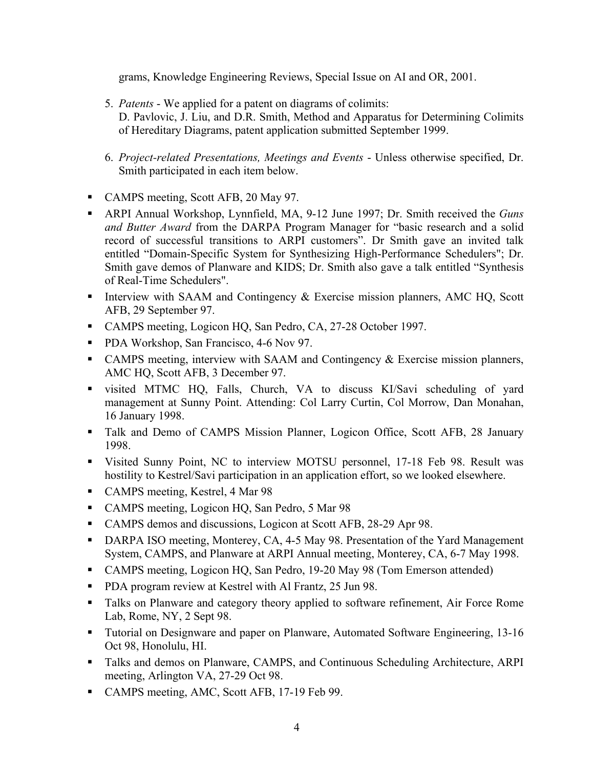grams, Knowledge Engineering Reviews, Special Issue on AI and OR, 2001.

- 5. *Patents* We applied for a patent on diagrams of colimits: D. Pavlovic, J. Liu, and D.R. Smith, Method and Apparatus for Determining Colimits of Hereditary Diagrams, patent application submitted September 1999.
- 6. *Project-related Presentations, Meetings and Events* Unless otherwise specified, Dr. Smith participated in each item below.
- CAMPS meeting, Scott AFB, 20 May 97.
- ARPI Annual Workshop, Lynnfield, MA, 9-12 June 1997; Dr. Smith received the *Guns and Butter Award* from the DARPA Program Manager for "basic research and a solid record of successful transitions to ARPI customers". Dr Smith gave an invited talk entitled "Domain-Specific System for Synthesizing High-Performance Schedulers"; Dr. Smith gave demos of Planware and KIDS; Dr. Smith also gave a talk entitled "Synthesis of Real-Time Schedulers".
- Interview with SAAM and Contingency  $\&$  Exercise mission planners, AMC HQ, Scott AFB, 29 September 97.
- CAMPS meeting, Logicon HQ, San Pedro, CA, 27-28 October 1997.
- **PDA Workshop, San Francisco, 4-6 Nov 97.**
- CAMPS meeting, interview with SAAM and Contingency & Exercise mission planners, AMC HQ, Scott AFB, 3 December 97.
- visited MTMC HQ, Falls, Church, VA to discuss KI/Savi scheduling of yard management at Sunny Point. Attending: Col Larry Curtin, Col Morrow, Dan Monahan, 16 January 1998.
- Talk and Demo of CAMPS Mission Planner, Logicon Office, Scott AFB, 28 January 1998.
- Visited Sunny Point, NC to interview MOTSU personnel, 17-18 Feb 98. Result was hostility to Kestrel/Savi participation in an application effort, so we looked elsewhere.
- CAMPS meeting, Kestrel, 4 Mar 98
- CAMPS meeting, Logicon HQ, San Pedro, 5 Mar 98
- CAMPS demos and discussions, Logicon at Scott AFB, 28-29 Apr 98.
- DARPA ISO meeting, Monterey, CA, 4-5 May 98. Presentation of the Yard Management System, CAMPS, and Planware at ARPI Annual meeting, Monterey, CA, 6-7 May 1998.
- CAMPS meeting, Logicon HQ, San Pedro, 19-20 May 98 (Tom Emerson attended)
- **PDA** program review at Kestrel with Al Frantz, 25 Jun 98.
- **Talks on Planware and category theory applied to software refinement, Air Force Rome** Lab, Rome, NY, 2 Sept 98.
- Tutorial on Designware and paper on Planware, Automated Software Engineering, 13-16 Oct 98, Honolulu, HI.
- Talks and demos on Planware, CAMPS, and Continuous Scheduling Architecture, ARPI meeting, Arlington VA, 27-29 Oct 98.
- CAMPS meeting, AMC, Scott AFB, 17-19 Feb 99.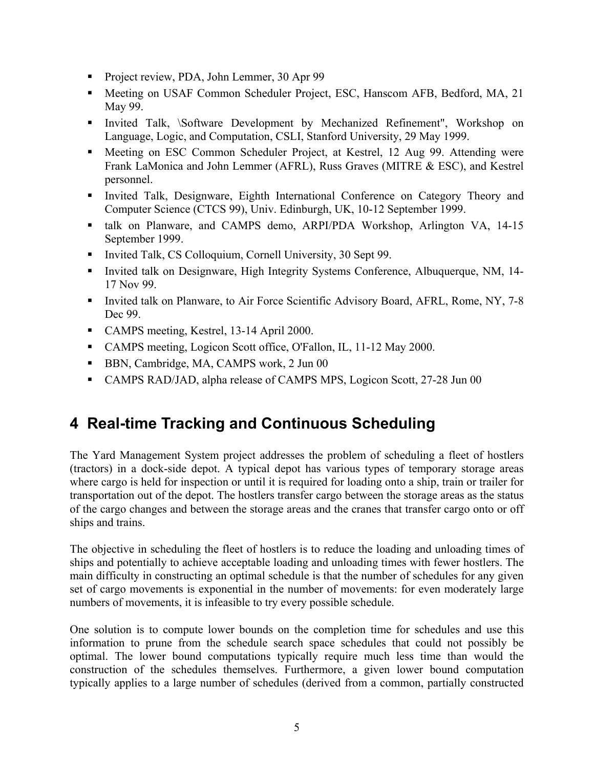- Project review, PDA, John Lemmer, 30 Apr 99
- **Meeting on USAF Common Scheduler Project, ESC, Hanscom AFB, Bedford, MA, 21** May 99.
- Invited Talk, \Software Development by Mechanized Refinement", Workshop on Language, Logic, and Computation, CSLI, Stanford University, 29 May 1999.
- Meeting on ESC Common Scheduler Project, at Kestrel, 12 Aug 99. Attending were Frank LaMonica and John Lemmer (AFRL), Russ Graves (MITRE & ESC), and Kestrel personnel.
- Invited Talk, Designware, Eighth International Conference on Category Theory and Computer Science (CTCS 99), Univ. Edinburgh, UK, 10-12 September 1999.
- talk on Planware, and CAMPS demo, ARPI/PDA Workshop, Arlington VA, 14-15 September 1999.
- Invited Talk, CS Colloquium, Cornell University, 30 Sept 99.
- Invited talk on Designware, High Integrity Systems Conference, Albuquerque, NM, 14-17 Nov 99.
- Invited talk on Planware, to Air Force Scientific Advisory Board, AFRL, Rome, NY, 7-8 Dec 99.
- CAMPS meeting, Kestrel, 13-14 April 2000.
- CAMPS meeting, Logicon Scott office, O'Fallon, IL, 11-12 May 2000.
- BBN, Cambridge, MA, CAMPS work, 2 Jun 00
- CAMPS RAD/JAD, alpha release of CAMPS MPS, Logicon Scott, 27-28 Jun 00

# **4 Real-time Tracking and Continuous Scheduling**

The Yard Management System project addresses the problem of scheduling a fleet of hostlers (tractors) in a dock-side depot. A typical depot has various types of temporary storage areas where cargo is held for inspection or until it is required for loading onto a ship, train or trailer for transportation out of the depot. The hostlers transfer cargo between the storage areas as the status of the cargo changes and between the storage areas and the cranes that transfer cargo onto or off ships and trains.

The objective in scheduling the fleet of hostlers is to reduce the loading and unloading times of ships and potentially to achieve acceptable loading and unloading times with fewer hostlers. The main difficulty in constructing an optimal schedule is that the number of schedules for any given set of cargo movements is exponential in the number of movements: for even moderately large numbers of movements, it is infeasible to try every possible schedule.

One solution is to compute lower bounds on the completion time for schedules and use this information to prune from the schedule search space schedules that could not possibly be optimal. The lower bound computations typically require much less time than would the construction of the schedules themselves. Furthermore, a given lower bound computation typically applies to a large number of schedules (derived from a common, partially constructed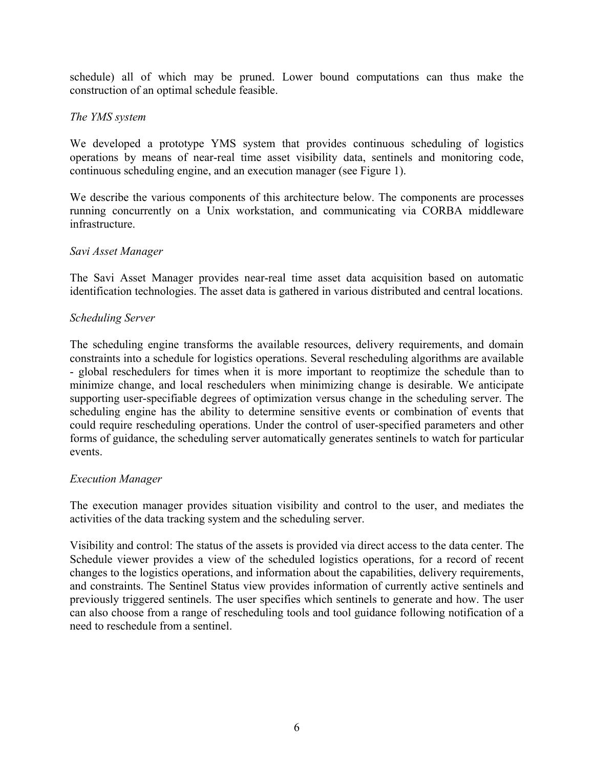schedule) all of which may be pruned. Lower bound computations can thus make the construction of an optimal schedule feasible.

### *The YMS system*

We developed a prototype YMS system that provides continuous scheduling of logistics operations by means of near-real time asset visibility data, sentinels and monitoring code, continuous scheduling engine, and an execution manager (see Figure 1).

We describe the various components of this architecture below. The components are processes running concurrently on a Unix workstation, and communicating via CORBA middleware infrastructure.

### *Savi Asset Manager*

The Savi Asset Manager provides near-real time asset data acquisition based on automatic identification technologies. The asset data is gathered in various distributed and central locations.

### *Scheduling Server*

The scheduling engine transforms the available resources, delivery requirements, and domain constraints into a schedule for logistics operations. Several rescheduling algorithms are available - global reschedulers for times when it is more important to reoptimize the schedule than to minimize change, and local reschedulers when minimizing change is desirable. We anticipate supporting user-specifiable degrees of optimization versus change in the scheduling server. The scheduling engine has the ability to determine sensitive events or combination of events that could require rescheduling operations. Under the control of user-specified parameters and other forms of guidance, the scheduling server automatically generates sentinels to watch for particular events.

### *Execution Manager*

The execution manager provides situation visibility and control to the user, and mediates the activities of the data tracking system and the scheduling server.

Visibility and control: The status of the assets is provided via direct access to the data center. The Schedule viewer provides a view of the scheduled logistics operations, for a record of recent changes to the logistics operations, and information about the capabilities, delivery requirements, and constraints. The Sentinel Status view provides information of currently active sentinels and previously triggered sentinels. The user specifies which sentinels to generate and how. The user can also choose from a range of rescheduling tools and tool guidance following notification of a need to reschedule from a sentinel.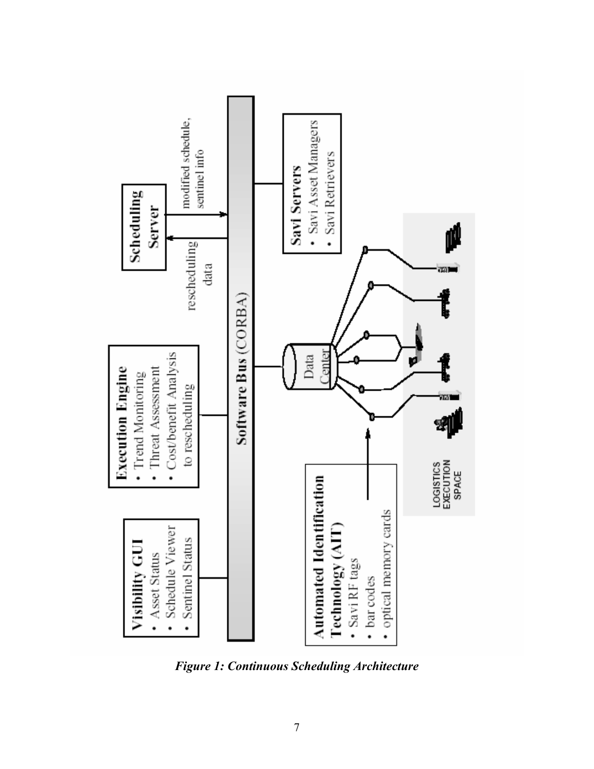

*Figure 1: Continuous Scheduling Architecture*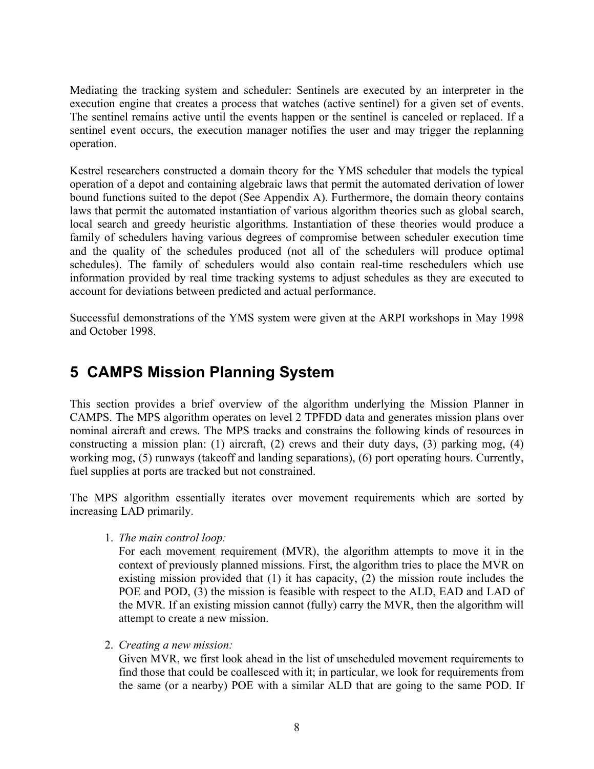Mediating the tracking system and scheduler: Sentinels are executed by an interpreter in the execution engine that creates a process that watches (active sentinel) for a given set of events. The sentinel remains active until the events happen or the sentinel is canceled or replaced. If a sentinel event occurs, the execution manager notifies the user and may trigger the replanning operation.

Kestrel researchers constructed a domain theory for the YMS scheduler that models the typical operation of a depot and containing algebraic laws that permit the automated derivation of lower bound functions suited to the depot (See Appendix A). Furthermore, the domain theory contains laws that permit the automated instantiation of various algorithm theories such as global search, local search and greedy heuristic algorithms. Instantiation of these theories would produce a family of schedulers having various degrees of compromise between scheduler execution time and the quality of the schedules produced (not all of the schedulers will produce optimal schedules). The family of schedulers would also contain real-time reschedulers which use information provided by real time tracking systems to adjust schedules as they are executed to account for deviations between predicted and actual performance.

Successful demonstrations of the YMS system were given at the ARPI workshops in May 1998 and October 1998.

# **5 CAMPS Mission Planning System**

This section provides a brief overview of the algorithm underlying the Mission Planner in CAMPS. The MPS algorithm operates on level 2 TPFDD data and generates mission plans over nominal aircraft and crews. The MPS tracks and constrains the following kinds of resources in constructing a mission plan: (1) aircraft, (2) crews and their duty days, (3) parking mog, (4) working mog, (5) runways (takeoff and landing separations), (6) port operating hours. Currently, fuel supplies at ports are tracked but not constrained.

The MPS algorithm essentially iterates over movement requirements which are sorted by increasing LAD primarily.

1. *The main control loop:* 

For each movement requirement (MVR), the algorithm attempts to move it in the context of previously planned missions. First, the algorithm tries to place the MVR on existing mission provided that (1) it has capacity, (2) the mission route includes the POE and POD, (3) the mission is feasible with respect to the ALD, EAD and LAD of the MVR. If an existing mission cannot (fully) carry the MVR, then the algorithm will attempt to create a new mission.

2. *Creating a new mission:*

Given MVR, we first look ahead in the list of unscheduled movement requirements to find those that could be coallesced with it; in particular, we look for requirements from the same (or a nearby) POE with a similar ALD that are going to the same POD. If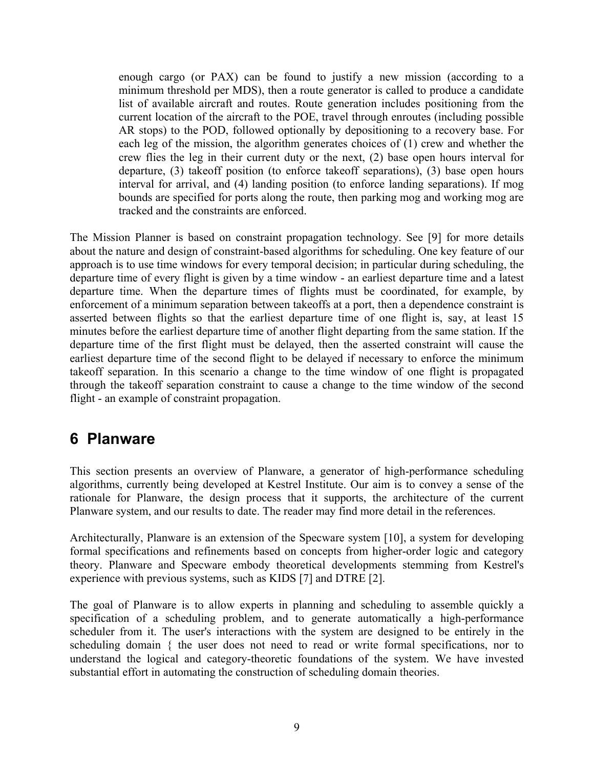enough cargo (or PAX) can be found to justify a new mission (according to a minimum threshold per MDS), then a route generator is called to produce a candidate list of available aircraft and routes. Route generation includes positioning from the current location of the aircraft to the POE, travel through enroutes (including possible AR stops) to the POD, followed optionally by depositioning to a recovery base. For each leg of the mission, the algorithm generates choices of (1) crew and whether the crew flies the leg in their current duty or the next, (2) base open hours interval for departure, (3) takeoff position (to enforce takeoff separations), (3) base open hours interval for arrival, and (4) landing position (to enforce landing separations). If mog bounds are specified for ports along the route, then parking mog and working mog are tracked and the constraints are enforced.

The Mission Planner is based on constraint propagation technology. See [9] for more details about the nature and design of constraint-based algorithms for scheduling. One key feature of our approach is to use time windows for every temporal decision; in particular during scheduling, the departure time of every flight is given by a time window - an earliest departure time and a latest departure time. When the departure times of flights must be coordinated, for example, by enforcement of a minimum separation between takeoffs at a port, then a dependence constraint is asserted between flights so that the earliest departure time of one flight is, say, at least 15 minutes before the earliest departure time of another flight departing from the same station. If the departure time of the first flight must be delayed, then the asserted constraint will cause the earliest departure time of the second flight to be delayed if necessary to enforce the minimum takeoff separation. In this scenario a change to the time window of one flight is propagated through the takeoff separation constraint to cause a change to the time window of the second flight - an example of constraint propagation.

## **6 Planware**

This section presents an overview of Planware, a generator of high-performance scheduling algorithms, currently being developed at Kestrel Institute. Our aim is to convey a sense of the rationale for Planware, the design process that it supports, the architecture of the current Planware system, and our results to date. The reader may find more detail in the references.

Architecturally, Planware is an extension of the Specware system [10], a system for developing formal specifications and refinements based on concepts from higher-order logic and category theory. Planware and Specware embody theoretical developments stemming from Kestrel's experience with previous systems, such as KIDS [7] and DTRE [2].

The goal of Planware is to allow experts in planning and scheduling to assemble quickly a specification of a scheduling problem, and to generate automatically a high-performance scheduler from it. The user's interactions with the system are designed to be entirely in the scheduling domain { the user does not need to read or write formal specifications, nor to understand the logical and category-theoretic foundations of the system. We have invested substantial effort in automating the construction of scheduling domain theories.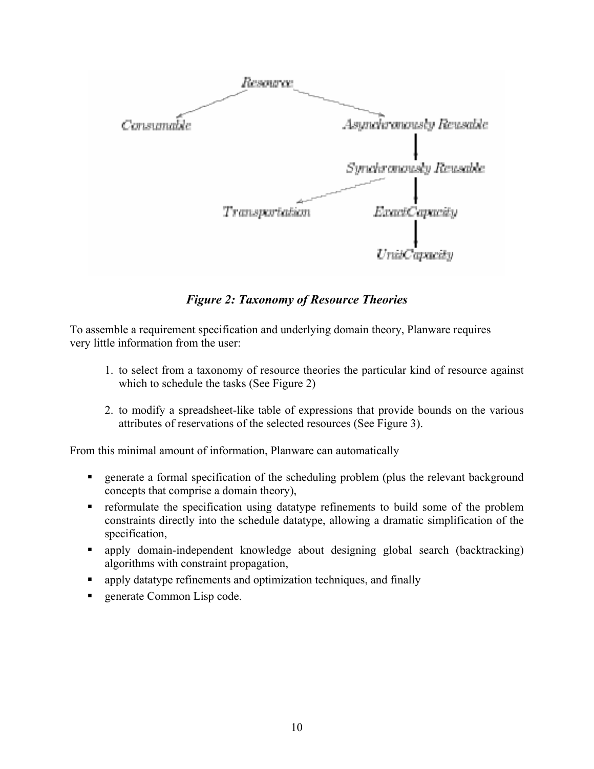

*Figure 2: Taxonomy of Resource Theories* 

To assemble a requirement specification and underlying domain theory, Planware requires very little information from the user:

- 1. to select from a taxonomy of resource theories the particular kind of resource against which to schedule the tasks (See Figure 2)
- 2. to modify a spreadsheet-like table of expressions that provide bounds on the various attributes of reservations of the selected resources (See Figure 3).

From this minimal amount of information, Planware can automatically

- generate a formal specification of the scheduling problem (plus the relevant background concepts that comprise a domain theory),
- reformulate the specification using datatype refinements to build some of the problem constraints directly into the schedule datatype, allowing a dramatic simplification of the specification,
- apply domain-independent knowledge about designing global search (backtracking) algorithms with constraint propagation,
- **Examply datatype refinements and optimization techniques, and finally**
- generate Common Lisp code.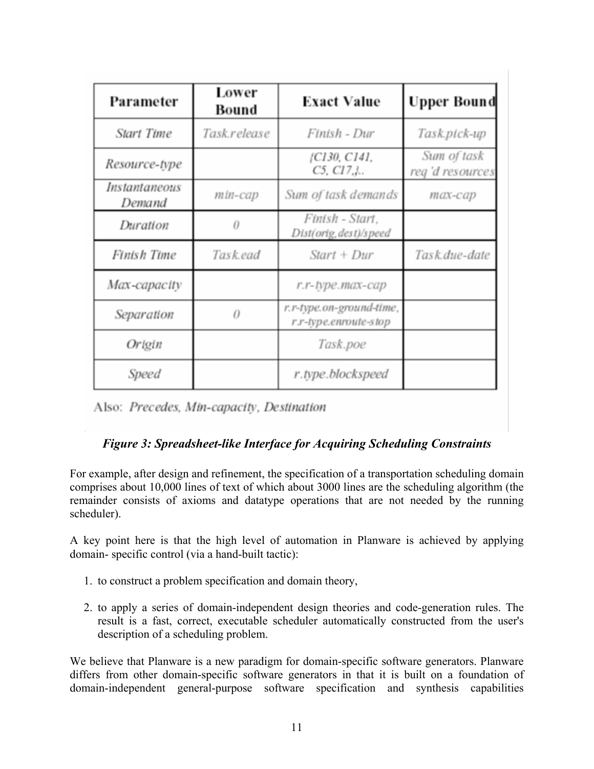| Parameter               | Lower<br>Bound | <b>Exact Value</b>                                | Upper Bound                    |
|-------------------------|----------------|---------------------------------------------------|--------------------------------|
| <b>Start Time</b>       | Task.release   | Finish - Dur                                      | Task.pick-up                   |
| Resource-type           |                | {C130, C141,<br>$C5, C17.$                        | Sum of task<br>reg'd resources |
| Instantaneous<br>Demand | min-cap        | Sum of task demands                               | max-cap                        |
| Duration                | 0              | Finish - Start,<br>Dist(orig, dest)/speed         |                                |
| Finish Time             | Task.ead       | $Start + Dur$                                     | Task.due-date                  |
| Max-capacity            |                | r.r-type.max-cap                                  |                                |
| Separation              | 0              | r.r-type.on-ground-time,<br>r.r-type.enroute-stop |                                |
| Origin                  |                | Task.poe                                          |                                |
| Speed                   |                | r.type.blockspeed                                 |                                |

Also: Precedes, Min-capacity, Destination

## *Figure 3: Spreadsheet-like Interface for Acquiring Scheduling Constraints*

For example, after design and refinement, the specification of a transportation scheduling domain comprises about 10,000 lines of text of which about 3000 lines are the scheduling algorithm (the remainder consists of axioms and datatype operations that are not needed by the running scheduler).

A key point here is that the high level of automation in Planware is achieved by applying domain- specific control (via a hand-built tactic):

- 1. to construct a problem specification and domain theory,
- 2. to apply a series of domain-independent design theories and code-generation rules. The result is a fast, correct, executable scheduler automatically constructed from the user's description of a scheduling problem.

We believe that Planware is a new paradigm for domain-specific software generators. Planware differs from other domain-specific software generators in that it is built on a foundation of domain-independent general-purpose software specification and synthesis capabilities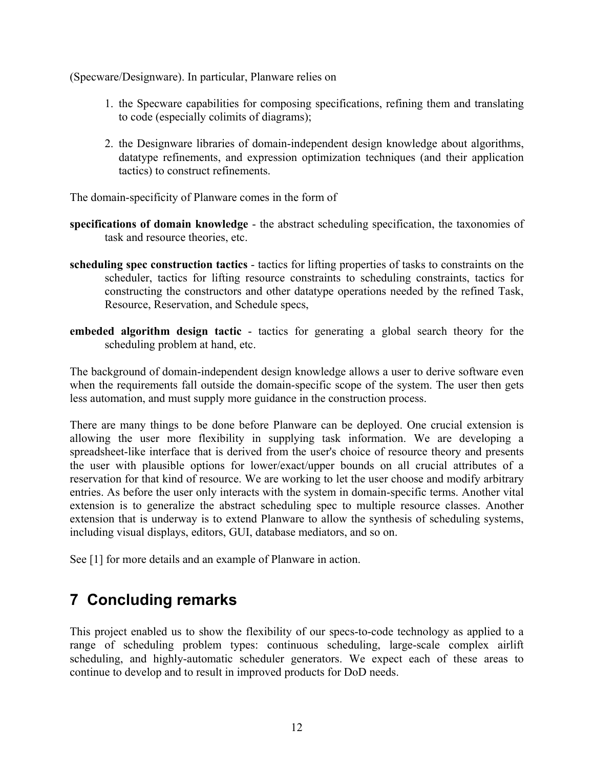(Specware/Designware). In particular, Planware relies on

- 1. the Specware capabilities for composing specifications, refining them and translating to code (especially colimits of diagrams);
- 2. the Designware libraries of domain-independent design knowledge about algorithms, datatype refinements, and expression optimization techniques (and their application tactics) to construct refinements.

The domain-specificity of Planware comes in the form of

- **specifications of domain knowledge** the abstract scheduling specification, the taxonomies of task and resource theories, etc.
- **scheduling spec construction tactics** tactics for lifting properties of tasks to constraints on the scheduler, tactics for lifting resource constraints to scheduling constraints, tactics for constructing the constructors and other datatype operations needed by the refined Task, Resource, Reservation, and Schedule specs,
- **embeded algorithm design tactic** tactics for generating a global search theory for the scheduling problem at hand, etc.

The background of domain-independent design knowledge allows a user to derive software even when the requirements fall outside the domain-specific scope of the system. The user then gets less automation, and must supply more guidance in the construction process.

There are many things to be done before Planware can be deployed. One crucial extension is allowing the user more flexibility in supplying task information. We are developing a spreadsheet-like interface that is derived from the user's choice of resource theory and presents the user with plausible options for lower/exact/upper bounds on all crucial attributes of a reservation for that kind of resource. We are working to let the user choose and modify arbitrary entries. As before the user only interacts with the system in domain-specific terms. Another vital extension is to generalize the abstract scheduling spec to multiple resource classes. Another extension that is underway is to extend Planware to allow the synthesis of scheduling systems, including visual displays, editors, GUI, database mediators, and so on.

See [1] for more details and an example of Planware in action.

## **7 Concluding remarks**

This project enabled us to show the flexibility of our specs-to-code technology as applied to a range of scheduling problem types: continuous scheduling, large-scale complex airlift scheduling, and highly-automatic scheduler generators. We expect each of these areas to continue to develop and to result in improved products for DoD needs.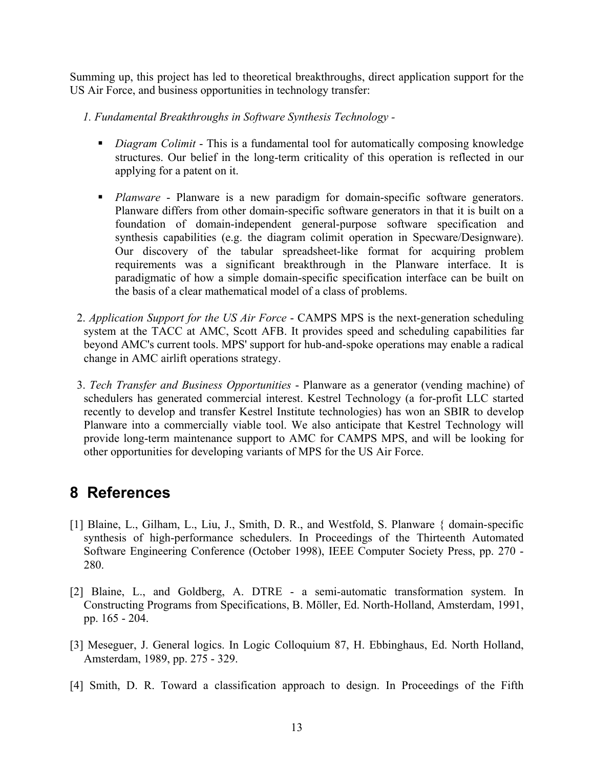Summing up, this project has led to theoretical breakthroughs, direct application support for the US Air Force, and business opportunities in technology transfer:

*1. Fundamental Breakthroughs in Software Synthesis Technology -* 

- *Diagram Colimit* This is a fundamental tool for automatically composing knowledge structures. Our belief in the long-term criticality of this operation is reflected in our applying for a patent on it.
- **Planware** Planware is a new paradigm for domain-specific software generators. Planware differs from other domain-specific software generators in that it is built on a foundation of domain-independent general-purpose software specification and synthesis capabilities (e.g. the diagram colimit operation in Specware/Designware). Our discovery of the tabular spreadsheet-like format for acquiring problem requirements was a significant breakthrough in the Planware interface. It is paradigmatic of how a simple domain-specific specification interface can be built on the basis of a clear mathematical model of a class of problems.
- 2. *Application Support for the US Air Force* CAMPS MPS is the next-generation scheduling system at the TACC at AMC, Scott AFB. It provides speed and scheduling capabilities far beyond AMC's current tools. MPS' support for hub-and-spoke operations may enable a radical change in AMC airlift operations strategy.
- 3. *Tech Transfer and Business Opportunities* Planware as a generator (vending machine) of schedulers has generated commercial interest. Kestrel Technology (a for-profit LLC started recently to develop and transfer Kestrel Institute technologies) has won an SBIR to develop Planware into a commercially viable tool. We also anticipate that Kestrel Technology will provide long-term maintenance support to AMC for CAMPS MPS, and will be looking for other opportunities for developing variants of MPS for the US Air Force.

# **8 References**

- [1] Blaine, L., Gilham, L., Liu, J., Smith, D. R., and Westfold, S. Planware { domain-specific synthesis of high-performance schedulers. In Proceedings of the Thirteenth Automated Software Engineering Conference (October 1998), IEEE Computer Society Press, pp. 270 - 280.
- [2] Blaine, L., and Goldberg, A. DTRE a semi-automatic transformation system. In Constructing Programs from Specifications, B. Möller, Ed. North-Holland, Amsterdam, 1991, pp. 165 - 204.
- [3] Meseguer, J. General logics. In Logic Colloquium 87, H. Ebbinghaus, Ed. North Holland, Amsterdam, 1989, pp. 275 - 329.
- [4] Smith, D. R. Toward a classification approach to design. In Proceedings of the Fifth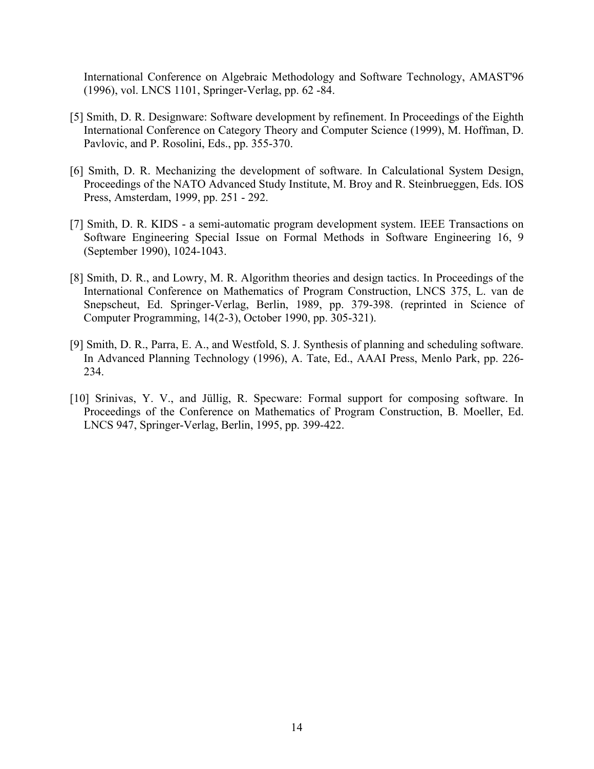International Conference on Algebraic Methodology and Software Technology, AMAST'96 (1996), vol. LNCS 1101, Springer-Verlag, pp. 62 -84.

- [5] Smith, D. R. Designware: Software development by refinement. In Proceedings of the Eighth International Conference on Category Theory and Computer Science (1999), M. Hoffman, D. Pavlovic, and P. Rosolini, Eds., pp. 355-370.
- [6] Smith, D. R. Mechanizing the development of software. In Calculational System Design, Proceedings of the NATO Advanced Study Institute, M. Broy and R. Steinbrueggen, Eds. IOS Press, Amsterdam, 1999, pp. 251 - 292.
- [7] Smith, D. R. KIDS a semi-automatic program development system. IEEE Transactions on Software Engineering Special Issue on Formal Methods in Software Engineering 16, 9 (September 1990), 1024-1043.
- [8] Smith, D. R., and Lowry, M. R. Algorithm theories and design tactics. In Proceedings of the International Conference on Mathematics of Program Construction, LNCS 375, L. van de Snepscheut, Ed. Springer-Verlag, Berlin, 1989, pp. 379-398. (reprinted in Science of Computer Programming, 14(2-3), October 1990, pp. 305-321).
- [9] Smith, D. R., Parra, E. A., and Westfold, S. J. Synthesis of planning and scheduling software. In Advanced Planning Technology (1996), A. Tate, Ed., AAAI Press, Menlo Park, pp. 226- 234.
- [10] Srinivas, Y. V., and Jüllig, R. Specware: Formal support for composing software. In Proceedings of the Conference on Mathematics of Program Construction, B. Moeller, Ed. LNCS 947, Springer-Verlag, Berlin, 1995, pp. 399-422.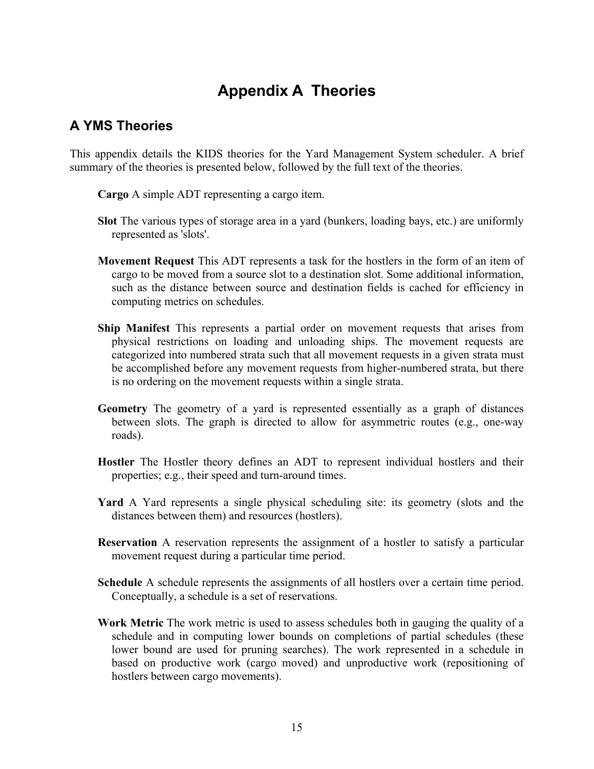# **Appendix A Theories**

## **A YMS Theories**

This appendix details the KIDS theories for the Yard Management System scheduler. A brief summary of the theories is presented below, followed by the full text of the theories.

**Cargo** A simple ADT representing a cargo item.

- **Slot** The various types of storage area in a yard (bunkers, loading bays, etc.) are uniformly represented as 'slots'.
- **Movement Request** This ADT represents a task for the hostlers in the form of an item of cargo to be moved from a source slot to a destination slot. Some additional information, such as the distance between source and destination fields is cached for efficiency in computing metrics on schedules.
- **Ship Manifest** This represents a partial order on movement requests that arises from physical restrictions on loading and unloading ships. The movement requests are categorized into numbered strata such that all movement requests in a given strata must be accomplished before any movement requests from higher-numbered strata, but there is no ordering on the movement requests within a single strata.
- **Geometry** The geometry of a yard is represented essentially as a graph of distances between slots. The graph is directed to allow for asymmetric routes (e.g., one-way roads).
- **Hostler** The Hostler theory defines an ADT to represent individual hostlers and their properties; e.g., their speed and turn-around times.
- **Yard** A Yard represents a single physical scheduling site: its geometry (slots and the distances between them) and resources (hostlers).
- **Reservation** A reservation represents the assignment of a hostler to satisfy a particular movement request during a particular time period.
- **Schedule** A schedule represents the assignments of all hostlers over a certain time period. Conceptually, a schedule is a set of reservations.
- **Work Metric** The work metric is used to assess schedules both in gauging the quality of a schedule and in computing lower bounds on completions of partial schedules (these lower bound are used for pruning searches). The work represented in a schedule in based on productive work (cargo moved) and unproductive work (repositioning of hostlers between cargo movements).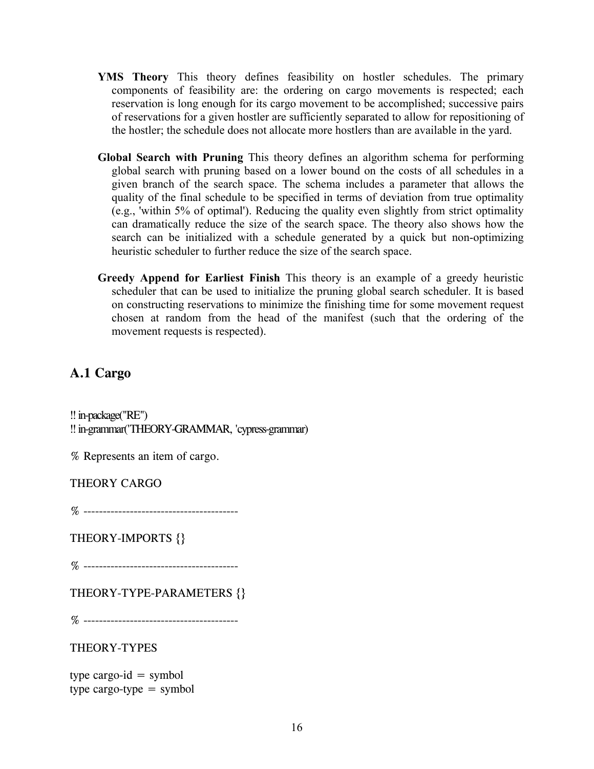- **YMS Theory** This theory defines feasibility on hostler schedules. The primary components of feasibility are: the ordering on cargo movements is respected; each reservation is long enough for its cargo movement to be accomplished; successive pairs of reservations for a given hostler are sufficiently separated to allow for repositioning of the hostler; the schedule does not allocate more hostlers than are available in the yard.
- **Global Search with Pruning** This theory defines an algorithm schema for performing global search with pruning based on a lower bound on the costs of all schedules in a given branch of the search space. The schema includes a parameter that allows the quality of the final schedule to be specified in terms of deviation from true optimality (e.g., 'within 5% of optimal'). Reducing the quality even slightly from strict optimality can dramatically reduce the size of the search space. The theory also shows how the search can be initialized with a schedule generated by a quick but non-optimizing heuristic scheduler to further reduce the size of the search space.
- **Greedy Append for Earliest Finish** This theory is an example of a greedy heuristic scheduler that can be used to initialize the pruning global search scheduler. It is based on constructing reservations to minimize the finishing time for some movement request chosen at random from the head of the manifest (such that the ordering of the movement requests is respected).

## **A.1 Cargo**

!! in-package("RE") !! in-grammar('THEORY-GRAMMAR, 'cypress-grammar)

% Represents an item of cargo.

THEORY CARGO

% ----------------------------------------

THEORY-IMPORTS {}

% ----------------------------------------

THEORY-TYPE-PARAMETERS {}

% ----------------------------------------

THEORY-TYPES

type cargo-id  $=$  symbol type cargo-type  $=$  symbol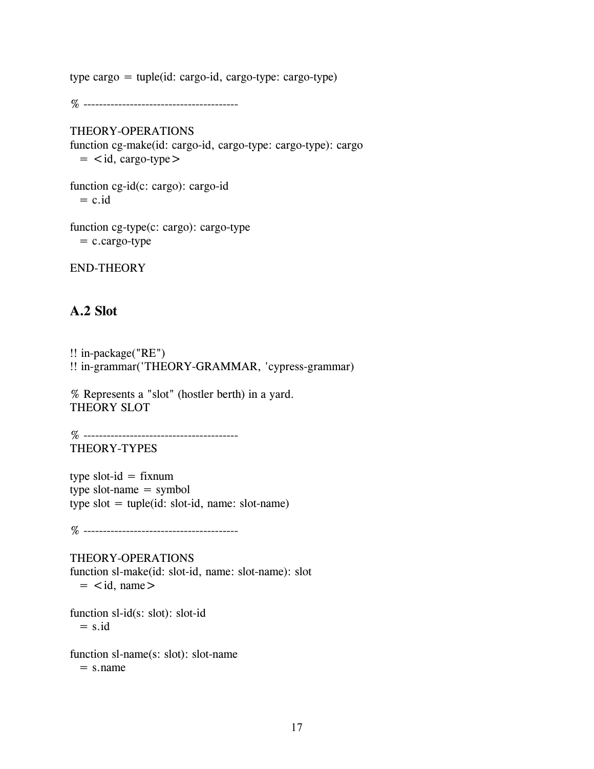type cargo = tuple(id: cargo-id, cargo-type: cargo-type)

% ----------------------------------------

#### THEORY-OPERATIONS

function cg-make(id: cargo-id, cargo-type: cargo-type): cargo  $=$  <id, cargo-type >

function cg-id(c: cargo): cargo-id  $= c$ . id.

function cg-type(c: cargo): cargo-type  $= ccargo-type$ 

END-THEORY

## **A.2 Slot**

!! in-package("RE") !! in-grammar('THEORY-GRAMMAR, 'cypress-grammar)

% Represents a "slot" (hostler berth) in a yard. THEORY SLOT

% ---------------------------------------- THEORY-TYPES

type slot- $id = fixnum$ type slot-name  $=$  symbol type  $slot = tuple(id: slot-id, name: slot-name)$ 

% ----------------------------------------

THEORY-OPERATIONS function sl-make(id: slot-id, name: slot-name): slot  $=$   $\lt$ id, name $>$ 

function sl-id(s: slot): slot-id  $=$  s.id

function sl-name(s: slot): slot-name  $=$  s.name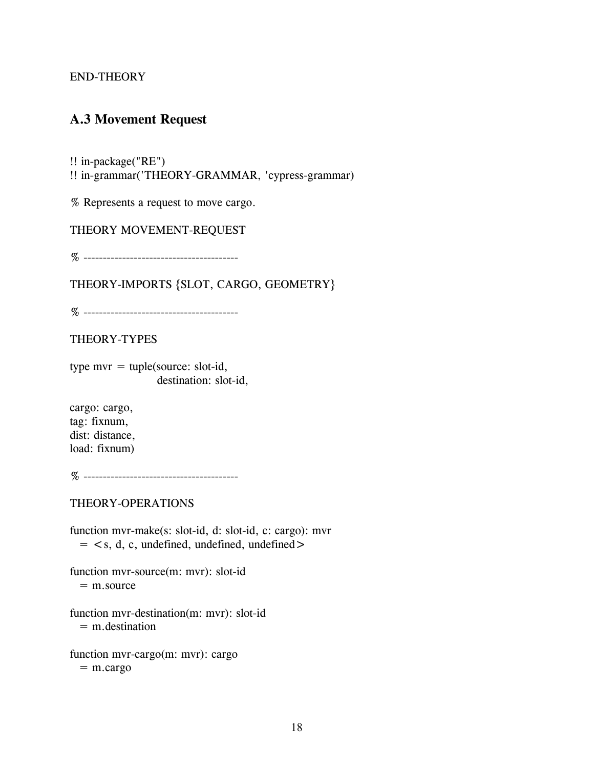## **A.3 Movement Request**

!! in-package("RE")

!! in-grammar('THEORY-GRAMMAR, 'cypress-grammar)

% Represents a request to move cargo.

THEORY MOVEMENT-REQUEST

% ----------------------------------------

THEORY-IMPORTS {SLOT, CARGO, GEOMETRY}

% ----------------------------------------

THEORY-TYPES

type mvr  $=$  tuple(source: slot-id, destination: slot-id,

cargo: cargo, tag: fixnum, dist: distance, load: fixnum)

% ----------------------------------------

THEORY-OPERATIONS

function mvr-make(s: slot-id, d: slot-id, c: cargo): mvr  $=$  < s, d, c, undefined, undefined >

function mvr-source(m: mvr): slot-id  $=$  m.source

function mvr-destination(m: mvr): slot-id = m.destination

function mvr-cargo(m: mvr): cargo  $=$  m.cargo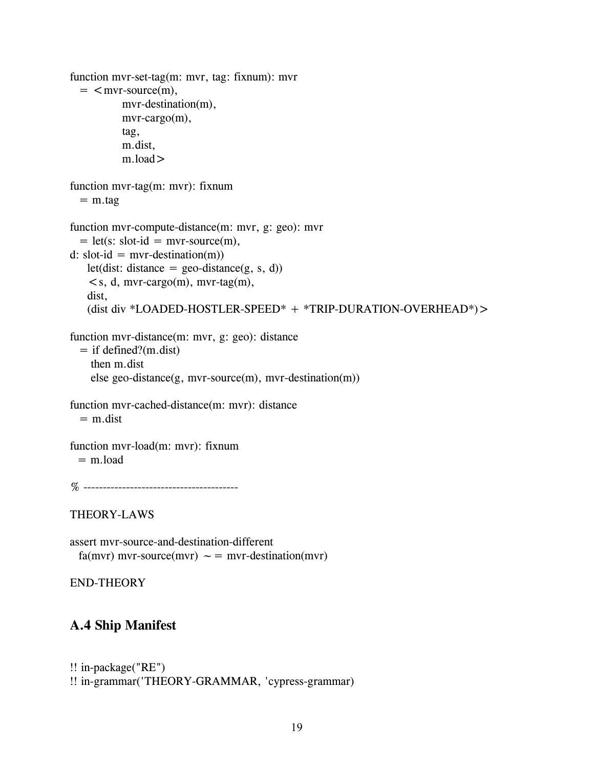```
function mvr-set-tag(m: mvr, tag: fixnum): mvr 
  = < mvr-source(m),
          mvr-destination(m), 
          mvr-cargo(m), 
          tag, 
          m.dist, 
          m.load> 
function mvr-tag(m: mvr): fixnum 
  = m.tag
function mvr-compute-distance(m: mvr, g: geo): mvr 
  = let(s: slot-id = mvr-source(m),
d: slot-id = mvr-destitution(m))let(dist: distance = geo-distance(g, s, d))
    \leqs, d, mvr-cargo(m), mvr-tag(m),
   dist, 
   (dist div *LOADED-HOSTLER-SPEED* + *TRIP-DURATION-OVERHEAD*)> 
function mvr-distance(m: mvr, g: geo): distance 
  = if defined?(m.dist)
    then m.dist 
    else geo-distance(g, mvr-source(m), mvr-destination(m)) 
function mvr-cached-distance(m: mvr): distance 
  = m.dist
function mvr-load(m: mvr): fixnum 
 = m.load
% ---------------------------------------- 
THEORY-LAWS 
assert mvr-source-and-destination-different 
 fa(mvr) mvr-source(mvr) \sim = mvr-destitution(mvr)
```
## **A.4 Ship Manifest**

```
!! in-package("RE") 
!! in-grammar('THEORY-GRAMMAR, 'cypress-grammar)
```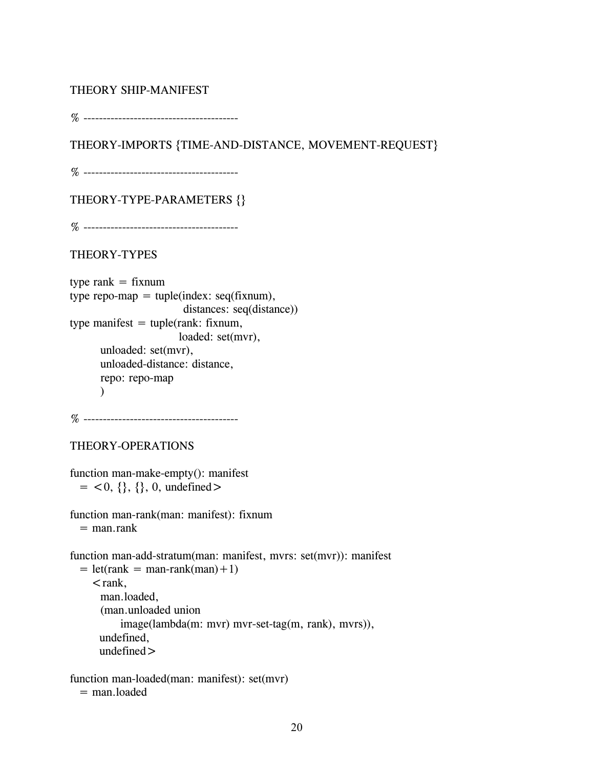### THEORY SHIP-MANIFEST

% ----------------------------------------

THEORY-IMPORTS {TIME-AND-DISTANCE, MOVEMENT-REQUEST}

% ----------------------------------------

THEORY-TYPE-PARAMETERS {}

% ----------------------------------------

### THEORY-TYPES

```
type rank = fixnum
type repo-map = tuple(index: seq(fixnum),
                        distances: seq(distance)) 
type manifest = tuple(rank: fixnum,
                       loaded: set(mvr),
      unloaded: set(mvr), 
      unloaded-distance: distance, 
      repo: repo-map 
      \mathcal{L}
```
% ----------------------------------------

```
THEORY-OPERATIONS
```

```
function man-make-empty(): manifest 
 = <0, {}, {}, 0, undefined >
```

```
function man-rank(man: manifest): fixnum 
  = man.rank
```

```
function man-add-stratum(man: manifest, mvrs: set(mvr)): manifest 
  = let(rank = man-rank(man) +1)
    <rank,
      man.loaded, 
      (man.unloaded union 
          image(lambda(m: mvr) mvr-set-tag(m, rank), mvrs)), 
      undefined, 
      undefined >
```

```
function man-loaded(man: manifest): set(mvr)
```

```
= man.loaded
```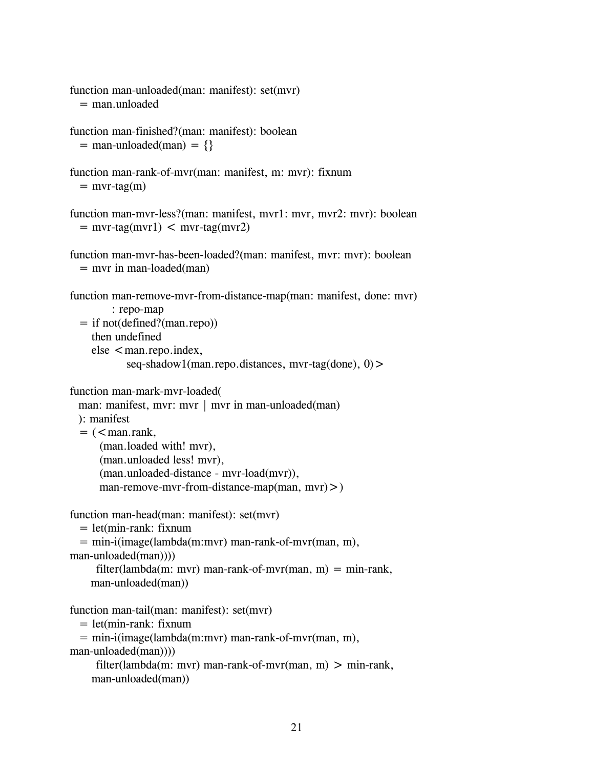```
function man-unloaded(man: manifest): set(mvr) 
  = man unloaded
function man-finished?(man: manifest): boolean 
  = man-unloaded(man) = {}
function man-rank-of-mvr(man: manifest, m: mvr): fixnum 
  = mvr-tag(m)
function man-mvr-less?(man: manifest, mvr1: mvr, mvr2: mvr): boolean 
  = mvr-tag(mvr1) < mvr-tag(mvr2)
function man-mvr-has-been-loaded?(man: manifest, mvr: mvr): boolean 
  = mvr in man-loaded(man)
function man-remove-mvr-from-distance-map(man: manifest, done: mvr) 
        : repo-map 
  = if not(defined?(man.repo)) 
    then undefined 
    else < man.repo.index,
           seq-shadow1(man.repo.distances, mvr-tag(done), 0) >
function man-mark-mvr-loaded( 
 man: manifest, mvr: mvr | mvr in man-unloaded(man)
 ): manifest 
  = (\leman.rank,
     (man.loaded with! mvr), 
     (man.unloaded less! mvr), 
     (man.unloaded-distance - mvr-load(mvr)), 
     man-remove-mvr-from-distance-map(man, mvr) > )
function man-head(man: manifest): set(mvr) 
  = let(min-rank: fixnum
  = min-i(image(lambda(m:mvr) man-rank-of-mvr(man, m), 
man-unloaded(man)))) 
     filter(lambda(m: mvr) man-rank-of-mvr(man, m) = min-rank,
    man-unloaded(man)) 
function man-tail(man: manifest): set(mvr) 
  = let(min-rank: fixnum
  = min-i(image(lambda(m:mvr) man-rank-of-mvr(man, m),
```

```
man-unloaded(man))))
```

```
filter(lambda(m: mvr) man-rank-of-mvr(man, m) > min-rank,
man-unloaded(man))
```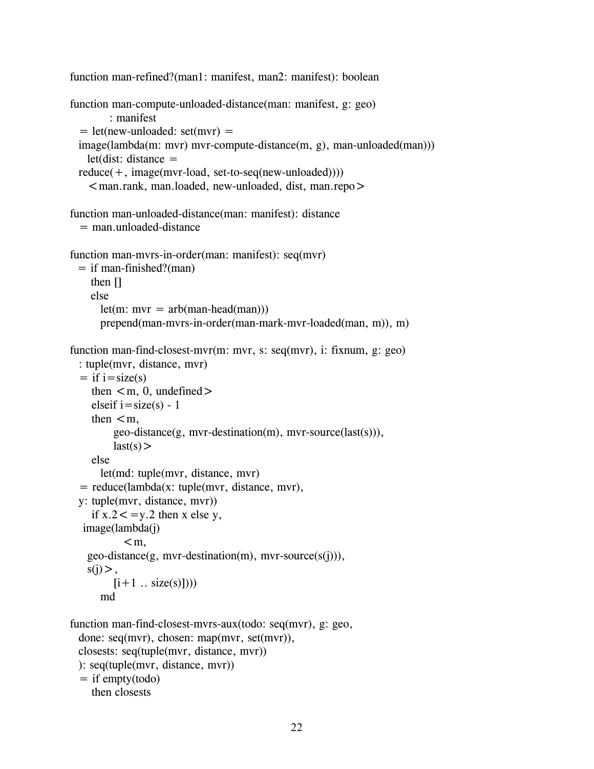```
function man-refined?(man1: manifest, man2: manifest): boolean
function man-compute-unloaded-distance(man: manifest, g: geo) 
        : manifest 
  = let(new-unloaded: set(mvr) =image(lambda(m: mvr) mvr-compute-distance(m, g), man-unloaded(man))) 
   let(dist: distance =reduce(+, image(mvr-load, set-to-seq(new-unloaded))))\leqman.rank, man.loaded, new-unloaded, dist, man.repo>function man-unloaded-distance(man: manifest): distance 
  = man.unloaded-distance
function man-mvrs-in-order(man: manifest): seq(mvr) 
 = if man-finished?(man)
    then [] 
    else 
      let(m: mvr = arb(man-head(man)))prepend(man-mvrs-in-order(man-mark-mvr-loaded(man, m)), m) 
function man-find-closest-mvr(m: mvr, s: seq(mvr), i: fixnum, g: geo) 
 : tuple(mvr, distance, mvr) 
  = if i=size(s)then \leqm, 0, undefined>elseif i=size(s) - 1then \leqm.
         geo-distance(g, mvr-destination(m), mvr-source(last(s))), 
         last(s)else 
      let(md: tuple(mvr, distance, mvr) 
  = reduce(lambda(x: tuple(mvr, distance, mvr),
 y: tuple(mvr, distance, mvr)) 
    if x.2 < =y.2 then x else y,
  image(lambda(j) 
           \leqm.
   geo-distance(g, mvr-destination(m), mvr-source(s(j))), 
   s(i),
        [i+1 .. size(s)])))
      md 
function man-find-closest-mvrs-aux(todo: seq(mvr), g: geo, 
 done: seq(mvr), chosen: map(mvr, set(mvr)),
 closests: seq(tuple(mvr, distance, mvr)) 
 ): seq(tuple(mvr, distance, mvr))
```

```
= if empty(todo)
  then closests
```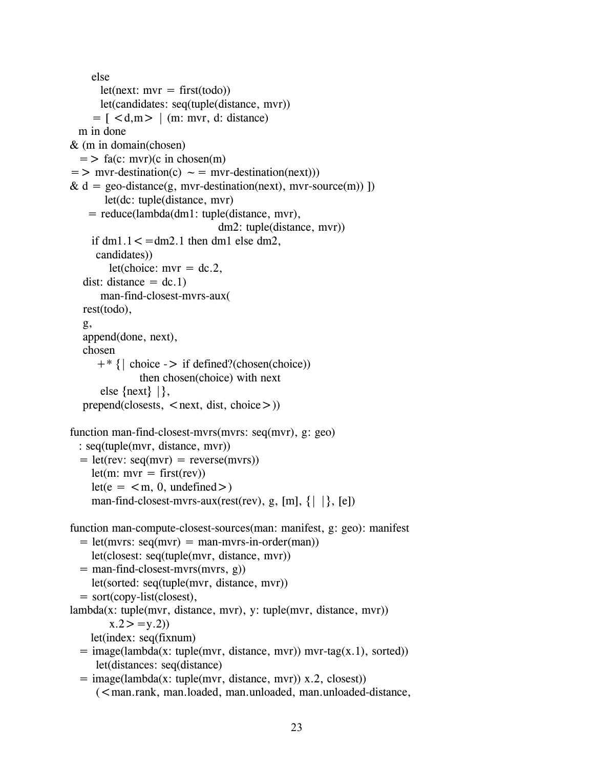```
else 
      let(next: mvr = first(todo))let(candidates: seq(tuple(distance, mvr)) 
     = \lceil < d, m > \lceil (m: mvr, d: distance)
 m in done 
& (m in domain(chosen) 
  = > fa(c: mvr)(c in chosen(m)
= > mvr-destination(c) \sim = mvr-destination(next)))
& d = \text{geo-distance}(g, mvr-destination(new), mvr-source(m))let(dc: tuple(distance, mvr) 
    = reduce(lambda(dm1: tuple(distance, mvr), 
                               dm2: tuple(distance, mvr)) 
    if dm1.1 < = dm2.1 then dm1 else dm2,
     candidates)) 
        let(choice: mvr = dc.2,
  dist: distance = dc.1)
      man-find-closest-mvrs-aux( 
  rest(todo), 
  g, 
  append(done, next), 
  chosen 
     +* {| choice -> if defined?(chosen(choice)) 
              then chosen(choice) with next 
      else \{next\} | \},
  prepend(closests, \le next, dist, choice \ge))
function man-find-closest-mvrs(mvrs: seq(mvr), g: geo) 
  : seq(tuple(mvr, distance, mvr)) 
  = let(rev: seq(mvr) = reverse(mvrs))
    let(m: mvr = first(rev))let(e = < m, 0, undefined>)man-find-closest-mvrs-aux(rest(rev), g, [m], \{| \rangle, [e]function man-compute-closest-sources(man: manifest, g: geo): manifest 
  = let(mvrs: seq(mvr) = man-mvrs-in-order(man))
    let(closest: seq(tuple(mvr, distance, mvr)) 
  = man-find-closest-mvrs(mvrs, g))
    let(sorted: seq(tuple(mvr, distance, mvr)) 
  = sort(copy-list(closest),
lambda(x: tuple(mvr, distance, mvr), y: tuple(mvr, distance, mvr)) 
        x.2 > y.2let(index: seq(fixnum) 
  = image(lambda(x: tuple(mvr, distance, mvr)) mvr-tag(x.1), sorted))
     let(distances: seq(distance) 
  = image(lambda(x: tuple(mvr, distance, mvr)) x.2, closest))
     \zeta man.rank, man.loaded, man.unloaded, man.unloaded-distance,
```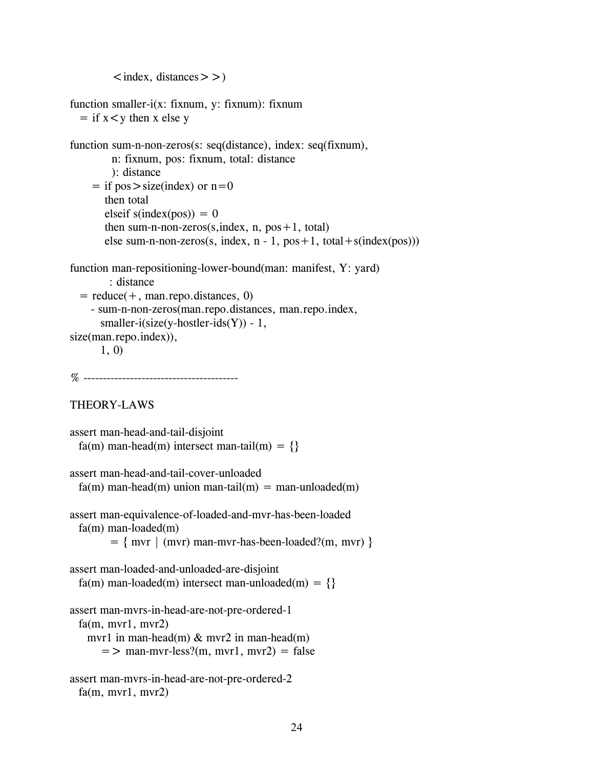$\langle$  index, distances  $>$  >  $\rangle$ 

```
function smaller-i(x: fixnum, y: fixnum): fixnum 
  = if x < y then x else y
function sum-n-non-zeros(s: seq(distance), index: seq(fixnum),
        n: fixnum, pos: fixnum, total: distance 
        ): distance 
    = if pos > size(index) or n=0
       then total 
       elseif s(index(pos)) = 0
       then sum-n-non-zeros(s, index, n, pos + 1, total)
       else sum-n-non-zeros(s, index, n - 1, pos + 1, total + s(index(pos)))
function man-repositioning-lower-bound(man: manifest, Y: yard) 
        : distance 
  = reduce(+, man.repo.distances, 0)
    - sum-n-non-zeros(man.repo.distances, man.repo.index, 
      smaller-i(size(y-hostler-ids(Y)) - 1,
size(man.repo.index)), 
      1, 0) 
% ---------------------------------------- 
THEORY-LAWS 
assert man-head-and-tail-disjoint 
 fa(m) man-head(m) intersect man-tail(m) = \{\}assert man-head-and-tail-cover-unloaded 
 fa(m) man-head(m) union man-tail(m) = man-unloaded(m)
assert man-equivalence-of-loaded-and-mvr-has-been-loaded 
 fa(m) man-loaded(m) 
        = \{ mvr \mid (mvr) man-mvr-has-been-loaded? (m, mvr) \}assert man-loaded-and-unloaded-are-disjoint 
 fa(m) man-loaded(m) intersect man-unloaded(m) = \{\}assert man-mvrs-in-head-are-not-pre-ordered-1 
 fa(m, mvr1, mvr2)mvr1 in man-head(m) & mvr2 in man-head(m)
      = > man-mvr-less?(m, mvr1, mvr2) = false
assert man-mvrs-in-head-are-not-pre-ordered-2 
 fa(m, mvr1, mvr2)
```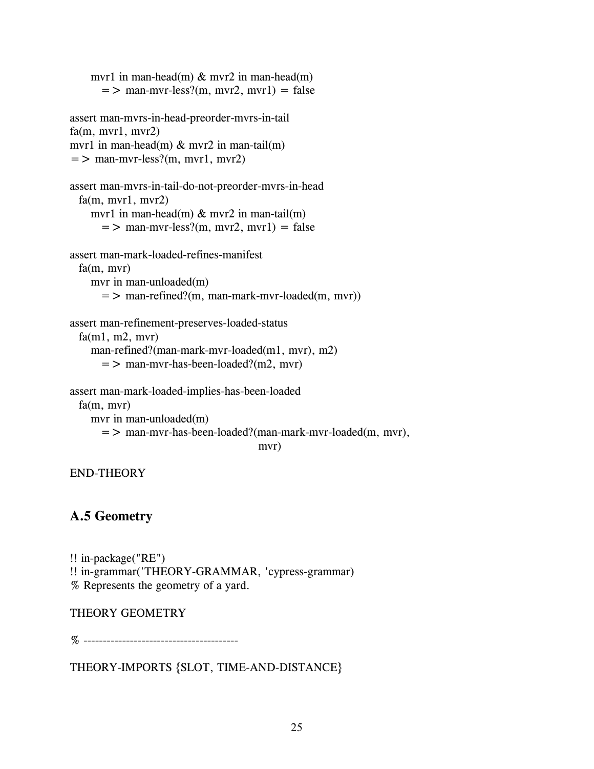```
mvr1 in man-head(m) & mvr2 in man-head(m)
      = > man-mvr-less?(m, mvr2, mvr1) = false
assert man-mvrs-in-head-preorder-mvrs-in-tail 
fa(m, mvr1, mvr2)mvr1 in man-head(m) & mvr2 in man-tail(m)
= > man-mvr-less?(m, mvr1, mvr2)
assert man-mvrs-in-tail-do-not-preorder-mvrs-in-head 
 fa(m, mvr1, mvr2)mvr1 in man-head(m) & mvr2 in man-tail(m)
      = > man-mvr-less?(m, mvr2, mvr1) = false
assert man-mark-loaded-refines-manifest 
 fa(m, mvr) 
    mvr in man-unloaded(m) 
      = > man-refined?(m, man-mark-mvr-loaded(m, mvr))
assert man-refinement-preserves-loaded-status 
 fa(m1, m2, mvr)man-refined?(man-mark-mvr-loaded(m1, mvr), m2) 
      = > man-mvr-has-been-loaded?(m2, mvr)
assert man-mark-loaded-implies-has-been-loaded 
 fa(m, mvr) 
   mvr in man-unloaded(m) 
      => man-mvr-has-been-loaded?(man-mark-mvr-loaded(m, mvr), 
                                    mvr)
```
## **A.5 Geometry**

```
!! in-package("RE") 
!! in-grammar('THEORY-GRAMMAR, 'cypress-grammar) 
% Represents the geometry of a yard.
```
### THEORY GEOMETRY

% ----------------------------------------

THEORY-IMPORTS {SLOT, TIME-AND-DISTANCE}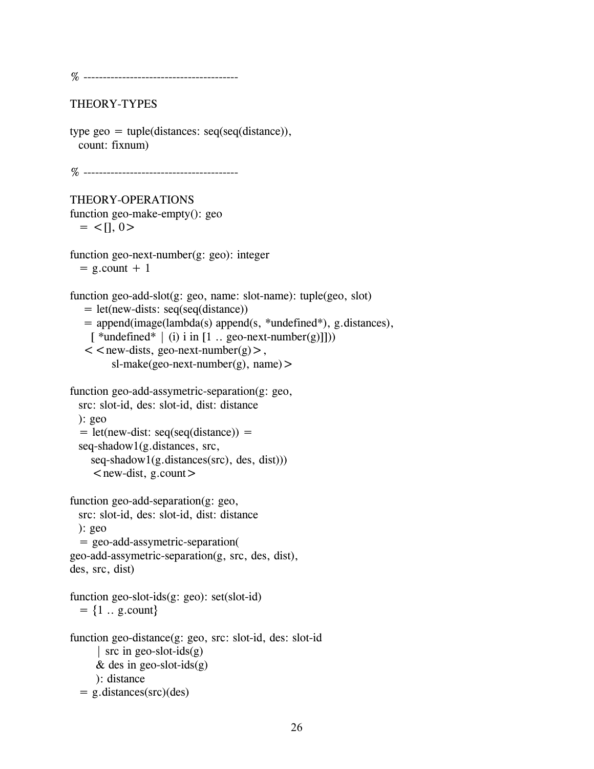% ----------------------------------------

### THEORY-TYPES

```
type geo = tuple(distances: seq(seq(distance)),count: fixnum)
```
% ----------------------------------------

#### THEORY-OPERATIONS function geo-make-empty(): geo  $=$  <[1, 0 >

function geo-next-number(g: geo): integer  $= g.count + 1$ 

```
function geo-add-slot(g: geo, name: slot-name): tuple(geo, slot)
```

```
= let(new-dists: seq(seq(distance))
```
= append(image(lambda(s) append(s, \*undefined\*), g.distances),

```
[*undefined* | (i) i in [1 .. geo-next-number(g)]]))
```

```
\leq < new-dists, geo-next-number(g) >,
     sl-make(geo-next-number(g), name) >
```

```
function geo-add-assymetric-separation(g: geo, 
 src: slot-id, des: slot-id, dist: distance 
 ): geo 
  = let(new-dist: seq(seq(distance)) =seq-shadow1(g.distances, src, 
    seq-shadow1(g.distances(src), des, dist)))
```

```
\lenew-dist, g.count>
```

```
function geo-add-separation(g: geo, 
 src: slot-id, des: slot-id, dist: distance 
 ): geo 
  = geo-add-assymetric-separation( 
geo-add-assymetric-separation(g, src, des, dist),
```

```
des, src, dist)
```
function geo-slot-ids(g: geo): set(slot-id)  $= {1 \dots g.count}$ 

```
function geo-distance(g: geo, src: slot-id, des: slot-id 
      | src in geo-slot-ids(g) 
     & des in geo-slot-ids(g)
     ): distance 
  = g.distances(src)(des)
```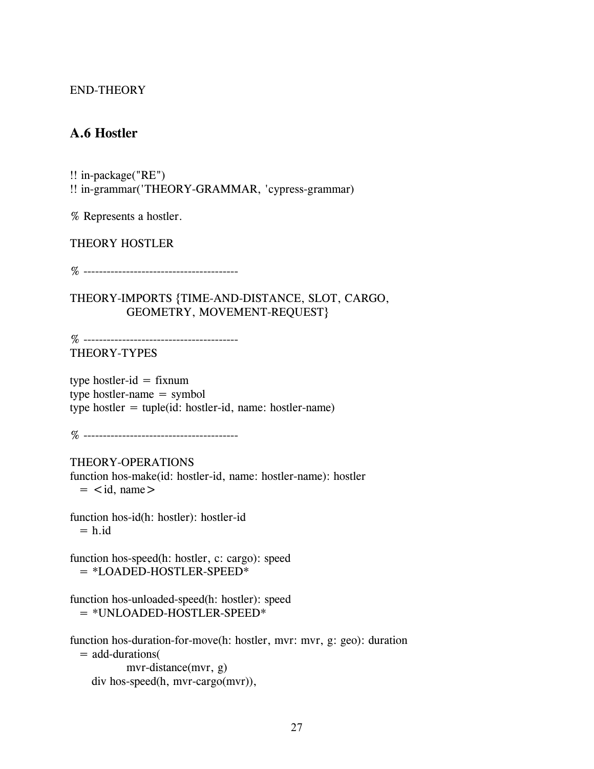## **A.6 Hostler**

!! in-package("RE") !! in-grammar('THEORY-GRAMMAR, 'cypress-grammar)

% Represents a hostler.

THEORY HOSTLER

% ----------------------------------------

THEORY-IMPORTS {TIME-AND-DISTANCE, SLOT, CARGO, GEOMETRY, MOVEMENT-REQUEST}

% ---------------------------------------- THEORY-TYPES

type hostler-id  $=$  fixnum type hostler-name = symbol type hostler  $=$  tuple(id: hostler-id, name: hostler-name)

% ----------------------------------------

THEORY-OPERATIONS function hos-make(id: hostler-id, name: hostler-name): hostler  $=$   $\lt$ id, name $>$ 

function hos-id(h: hostler): hostler-id  $= h$ .id

function hos-speed(h: hostler, c: cargo): speed = \*LOADED-HOSTLER-SPEED\*

function hos-unloaded-speed(h: hostler): speed  $=$  \*UNLOADED-HOSTLER-SPEED\*

function hos-duration-for-move(h: hostler, mvr: mvr, g: geo): duration = add-durations( mvr-distance(mvr, g) div hos-speed(h, mvr-cargo(mvr)),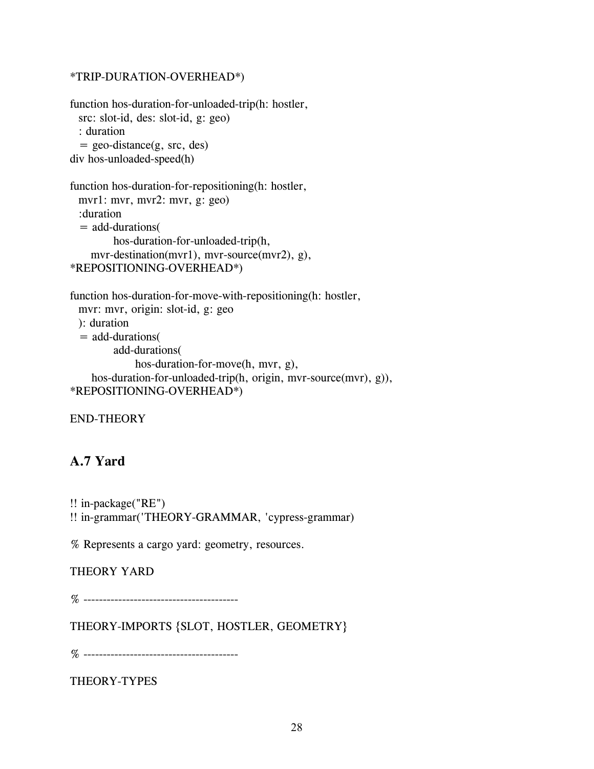### \*TRIP-DURATION-OVERHEAD\*)

```
function hos-duration-for-unloaded-trip(h: hostler, 
 src: slot-id, des: slot-id, g: geo) 
  : duration 
  = geo-distance(g, src, des)div hos-unloaded-speed(h)
```

```
function hos-duration-for-repositioning(h: hostler, 
 mvr1: mvr, mvr2: mvr, g: geo) 
 :duration 
  = add-durations( 
        hos-duration-for-unloaded-trip(h, 
    mvr-destination(mvr1), mvr-source(mvr2), g), 
*REPOSITIONING-OVERHEAD*)
```

```
function hos-duration-for-move-with-repositioning(h: hostler, 
 mvr: mvr, origin: slot-id, g: geo 
 ): duration 
 = add-durations( 
        add-durations( 
             hos-duration-for-move(h, mvr, g), 
    hos-duration-for-unloaded-trip(h, origin, mvr-source(mvr), g)),
*REPOSITIONING-OVERHEAD*)
```

```
END-THEORY
```
## **A.7 Yard**

```
!! in-package("RE")
```
!! in-grammar('THEORY-GRAMMAR, 'cypress-grammar)

% Represents a cargo yard: geometry, resources.

## THEORY YARD

% ----------------------------------------

THEORY-IMPORTS {SLOT, HOSTLER, GEOMETRY}

% ----------------------------------------

THEORY-TYPES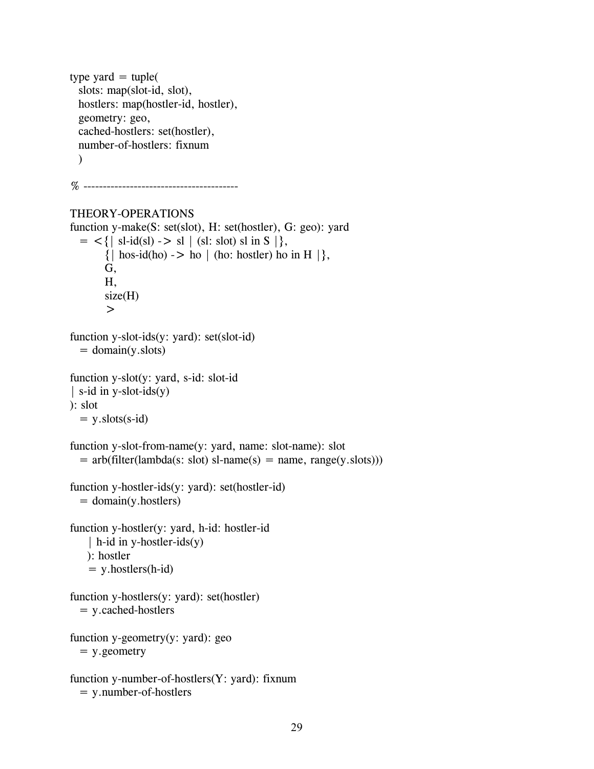```
type yard = tuple(
  slots: map(slot-id, slot), 
  hostlers: map(hostler-id, hostler), 
  geometry: geo, 
 cached-hostlers: set(hostler), 
  number-of-hostlers: fixnum 
 \lambda% ---------------------------------------- 
THEORY-OPERATIONS 
function y-make(S: set(slot), H: set(hostler), G: geo): yard 
  = <{| sl-id(sl) -> sl | (sl: slot) sl in S |},
        \{ \mid \text{hos-id(ho)} \mid > \text{ho} \mid (\text{ho: hostler}) \text{ ho in H } \},
        G, 
        H, 
        size(H)> 
function y-slot-ids(y: yard): set(slot-id) 
  = domain(y.slots)
function y-slot(y: yard, s-id: slot-id 
| s-id in y-slot-ids(y)
): slot 
  = y.slots(s-id)
function y-slot-from-name(y: yard, name: slot-name): slot 
  = arb(filter(lambda(s: slot) sl-name(s) = name, range(y.slots)))
function y-hostler-ids(y: yard): set(hostler-id) 
  = domain(y.hostlers)
function y-hostler(y: yard, h-id: hostler-id 
    | h-id in y-hostler-ids(y)
    ): hostler 
    = y.hostlers(h-id)
function y-hostlers(y: yard): set(hostler) 
  = y.cached-hostlers
function y-geometry(y: yard): geo 
  = y.geometry 
function y-number-of-hostlers(Y: yard): fixnum 
  = y.number-of-hostlers
```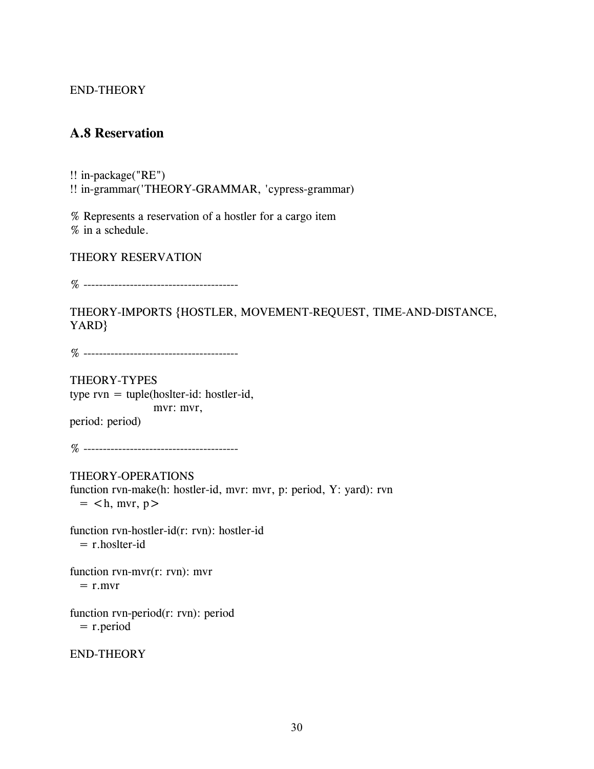## **A.8 Reservation**

!! in-package("RE") !! in-grammar('THEORY-GRAMMAR, 'cypress-grammar)

% Represents a reservation of a hostler for a cargo item % in a schedule.

THEORY RESERVATION

% ----------------------------------------

THEORY-IMPORTS {HOSTLER, MOVEMENT-REQUEST, TIME-AND-DISTANCE, YARD}

% ----------------------------------------

THEORY-TYPES type rvn = tuple(hoslter-id: hostler-id, mvr: mvr, period: period)

% ----------------------------------------

THEORY-OPERATIONS function rvn-make(h: hostler-id, mvr: mvr, p: period, Y: yard): rvn  $=$  <h, mvr, p>

function rvn-hostler-id(r: rvn): hostler-id  $=$  r.hoslter-id

function rvn-mvr(r: rvn): mvr  $=$  r.mvr

function rvn-period(r: rvn): period  $=$  r.period

END-THEORY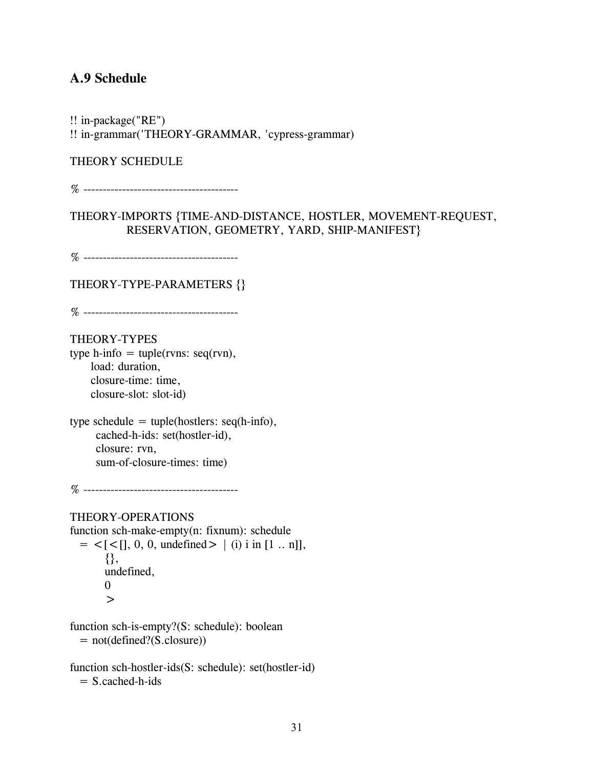## **A.9 Schedule**

!! in-package("RE") !! in-grammar('THEORY-GRAMMAR, 'cypress-grammar)

THEORY SCHEDULE

% ----------------------------------------

THEORY-IMPORTS {TIME-AND-DISTANCE, HOSTLER, MOVEMENT-REQUEST, RESERVATION, GEOMETRY, YARD, SHIP-MANIFEST}

% ----------------------------------------

THEORY-TYPE-PARAMETERS {}

% ----------------------------------------

THEORY-TYPES

type h-info  $=$  tuple(rvns: seq(rvn), load: duration, closure-time: time, closure-slot: slot-id)

type schedule  $=$  tuple(hostlers: seq(h-info), cached-h-ids: set(hostler-id), closure: rvn, sum-of-closure-times: time)

% ----------------------------------------

#### THEORY-OPERATIONS

function sch-make-empty(n: fixnum): schedule  $=$  <  $[$  <  $[$  $],$  0, 0, undefined >  $|$  (i) i in  $[1 \dots n]$ , {}, undefined, 0  $\geq$ 

function sch-is-empty?(S: schedule): boolean = not(defined?(S.closure))

function sch-hostler-ids(S: schedule): set(hostler-id)  $= S$ .cached-h-ids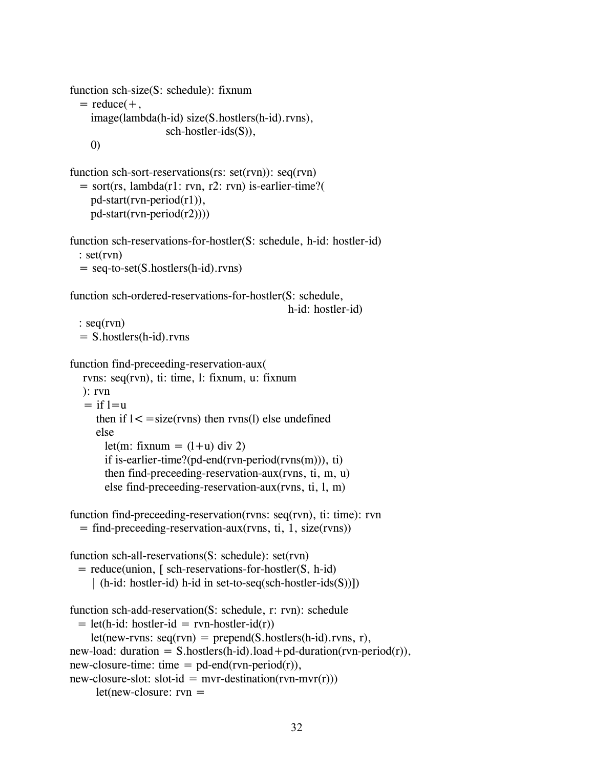```
function sch-size(S: schedule): fixnum 
  = reduce(+,
    image(lambda(h-id) size(S.hostlers(h-id).rvns), 
                    sch-hostler-ids(S)), 
    0) 
function sch-sort-reservations(rs: set(rvn)): seq(rvn)
  = sort(rs, lambda(r1: rvn, r2: rvn) is-earlier-time?(
    pd-start(rvn-period(r1)), 
    pd-start(rvn-period(r2)))) 
function sch-reservations-for-hostler(S: schedule, h-id: hostler-id) 
  : set(rvn) 
  = seq-to-set(S.hostlers(h-id).rvns)
function sch-ordered-reservations-for-hostler(S: schedule, 
                                               h-id: hostler-id) 
  : seq(rvn) 
  = S.hostlers(h-id).rvns 
function find-preceeding-reservation-aux( 
  rvns: seq(rvn), ti: time, l: fixnum, u: fixnum 
  ): rvn 
   = if l=u
     then if 1 < = size(rvns) then rvns(l) else undefined
     else 
       let(m: fixnum = (l+u) div 2)
       if is-earlier-time?(pd-end(rvn-period(rvns(m))), ti) 
       then find-preceeding-reservation-aux(rvns, ti, m, u) 
       else find-preceeding-reservation-aux(rvns, ti, l, m) 
function find-preceeding-reservation(rvns: seq(rvn), ti: time): rvn 
  = find-preceeding-reservation-aux(rvns, ti, 1, size(rvns))
function sch-all-reservations(S: schedule): set(rvn)
 = reduce(union, [ sch-reservations-for-hostler(S, h-id) 
    | (h-id: hostler-id) h-id in set-to-seq(sch-hostler-ids(S))]) 
function sch-add-reservation(S: schedule, r: rvn): schedule 
 = let(h-id: hostler-id = rvn-hostler-id(r))
    let(new-rvns: seq(rvn) = prepend(S.hostlers(h-id).rvn, r),new-load: duration = S.hostlers(h-id).load + pd-duration(rvn-period(r)),
new-closure-time: time = pd-end(rvn-period(r)),
new-closure-slot: slot-id = mvr-destitution(rvn-mvr(r)))let(new-closure: rvn =
```

```
32
```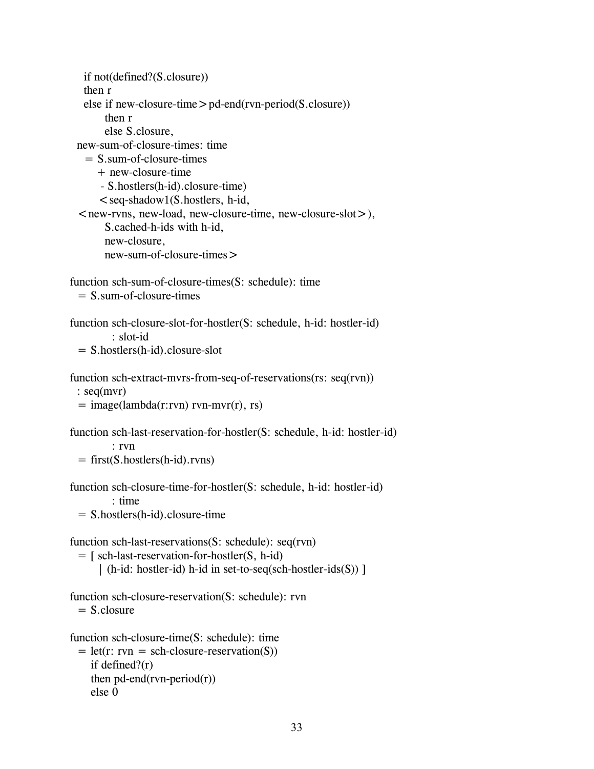```
if not(defined?(S.closure)) 
   then r 
   else if new-closure-time>pd-end(rvn-period(S.closure)) 
       then r 
       else S.closure, 
 new-sum-of-closure-times: time 
   = S \cdot sum-of-closure-time+ new-closure-time 
      - S.hostlers(h-id).closure-time) 
      \leqseq-shadow1(S.hostlers, h-id,
 \le new-rvns, new-load, new-closure-time, new-closure-slot >),
       S.cached-h-ids with h-id, 
       new-closure, 
       new-sum-of-closure-times> 
function sch-sum-of-closure-times(S: schedule): time 
 = S. sum-of-closure-times
function sch-closure-slot-for-hostler(S: schedule, h-id: hostler-id) 
         : slot-id 
 = S.hostlers(h-id).closure-slot 
function sch-extract-mvrs-from-seq-of-reservations(rs: seq(rvn))
 : seq(mvr) 
 = \text{image}(\text{lambda}(r:rvn) \text{ rvn-mvr}(r), \text{ rs})function sch-last-reservation-for-hostler(S: schedule, h-id: hostler-id) 
         : rvn 
 = first(S.hostlers(h-id).rvns)
function sch-closure-time-for-hostler(S: schedule, h-id: hostler-id) 
         : time 
 = S.hostlers(h-id).closure-time 
function sch-last-reservations(S: schedule): seq(rvn) 
 = [ sch-last-reservation-for-hostler(S, h-id) 
      | (h-id: hostler-id) h-id in set-to-seq(sch-hostler-ids(S)) ] 
function sch-closure-reservation(S: schedule): rvn 
 = S.closure
function sch-closure-time(S: schedule): time 
 = let(r: rvn = sch-closure-reservation(S))
    if defined?(r) 
    then pd-end(rvn-period(r))
    else 0
```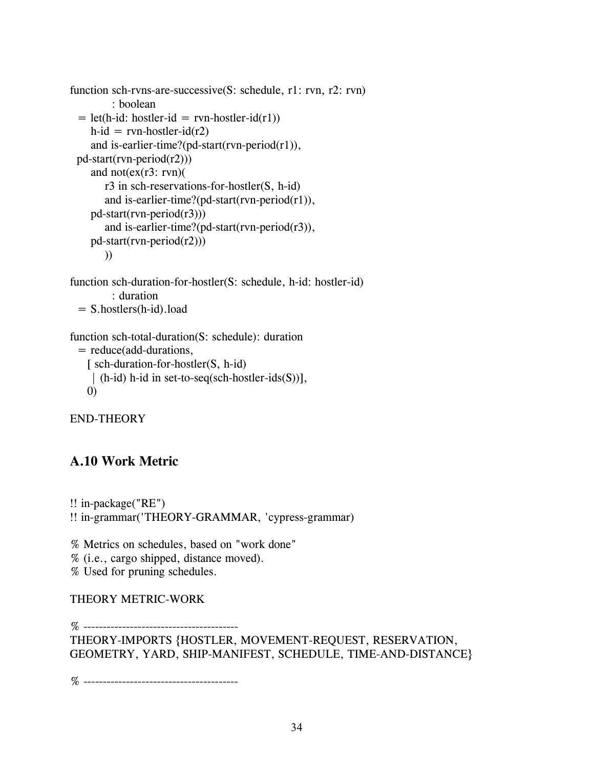```
function sch-rvns-are-successive(S: schedule, r1: rvn, r2: rvn)
         : boolean 
 = let(h-id: hostler-id = rvn-hostler-id(r1))
    h-id = rvn-hostler-id(r2)
    and is-earlier-time?(pd-start(rvn-period(r1)),
 pd-start(rvn-period(r2))) 
    and not(ex(r3: rvn))
       r3 in sch-reservations-for-hostler(S, h-id) 
       and is-earlier-time?(pd-start(rvn-period(r1)),
    pd-start(rvn-period(r3))) 
       and is-earlier-time?(pd-start(rvn-period(r3)),
    pd-start(rvn-period(r2))) 
       ))
```

```
function sch-duration-for-hostler(S: schedule, h-id: hostler-id) 
         : duration 
 = S.hostlers(h-id).load
```

```
function sch-total-duration(S: schedule): duration 
 = reduce(add-durations, 
    \int sch-duration-for-hostler(S, h-id)| (h-id) h-id in set-to-seq(sch-hostler-ids(S))], 
   0)
```
## **A.10 Work Metric**

```
!! in-package("RE") 
!! in-grammar('THEORY-GRAMMAR, 'cypress-grammar)
```
% Metrics on schedules, based on "work done" % (i.e., cargo shipped, distance moved).

% Used for pruning schedules.

## THEORY METRIC-WORK

```
% ---------------------------------------- 
THEORY-IMPORTS {HOSTLER, MOVEMENT-REQUEST, RESERVATION, 
GEOMETRY, YARD, SHIP-MANIFEST, SCHEDULE, TIME-AND-DISTANCE}
```
% ----------------------------------------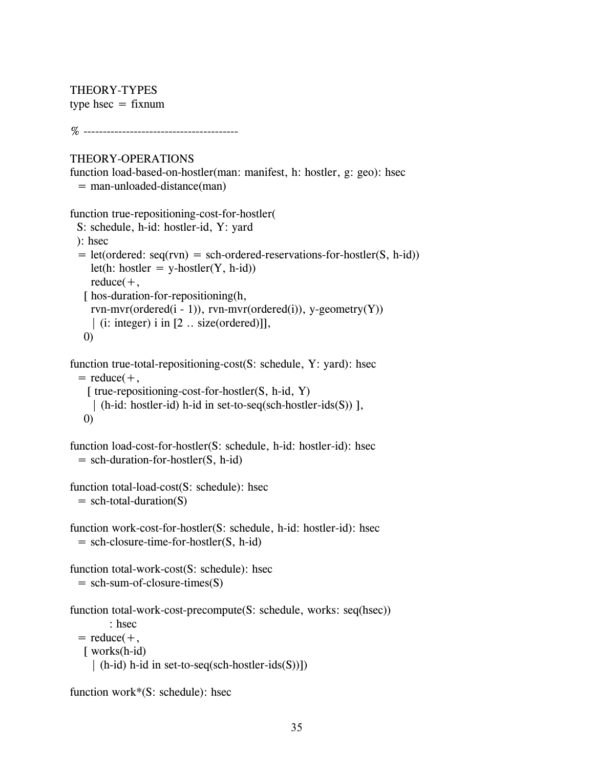THEORY-TYPES type hsec  $=$  fixnum

% ----------------------------------------

## THEORY-OPERATIONS

function load-based-on-hostler(man: manifest, h: hostler, g: geo): hsec  $=$  man-unloaded-distance(man)

```
function true-repositioning-cost-for-hostler(
```

```
S: schedule, h-id: hostler-id, Y: yard 
 ): hsec 
 = let(ordered: seq(rvn) = sch-ordered-reservations-for-hostler(S, h-id))
    let(h: hostler = y-hostler(Y, h-id))
    reduce(+,[ hos-duration-for-repositioning(h,
    rvn-mvr(ordered(i - 1)), rvn-mvr(ordered(i)), y-geometry(Y))| (i: integer) i in [2 .. size(ordered)]], 
  0) 
function true-total-repositioning-cost(S: schedule, Y: yard): hsec 
 = reduce(+,
```

```
[ true-repositioning-cost-for-hostler(S, h-id, Y)| (h-id: hostler-id) h-id in set-to-seq(sch-hostler-ids(S)) ],
```

```
0)
```

```
function load-cost-for-hostler(S: schedule, h-id: hostler-id): hsec 
 = sch-duration-for-hostler(S, h-id)
```
function total-load-cost(S: schedule): hsec  $=$  sch-total-duration(S)

```
function work-cost-for-hostler(S: schedule, h-id: hostler-id): hsec
 = sch-closure-time-for-hostler(S, h-id)
```
function total-work-cost(S: schedule): hsec  $=$  sch-sum-of-closure-times $(S)$ 

```
function total-work-cost-precompute(S: schedule, works: seq(hsec))
        : hsec 
 = reduce(+,
  [ works(h-id)
    | (h-id) h-id in set-to-seq(sch-hostler-ids(S))])
```

```
function work*(S: schedule): hsec
```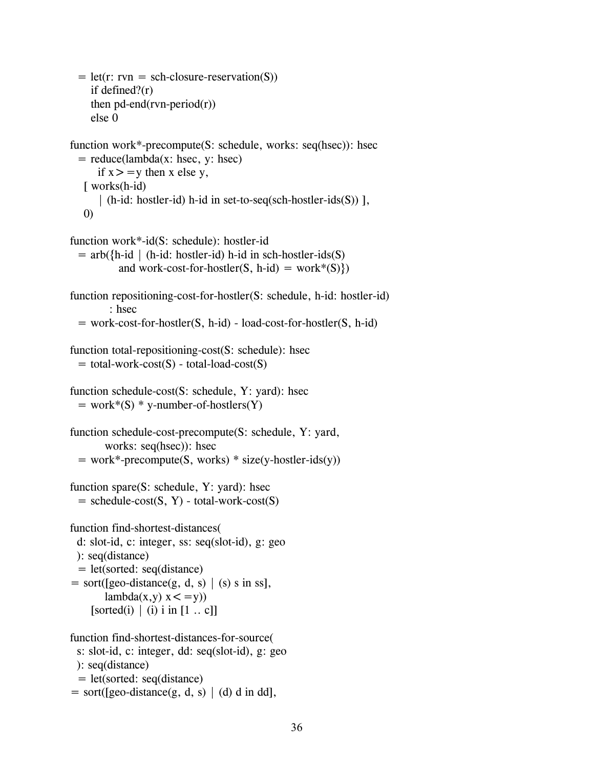```
= let(r: rvn = sch-closure-reservation(S))
    if defined?(r) 
    then pd-end(rvn-period(r))
    else 0 
function work*-precompute(S: schedule, works: seq(hsec)): hsec 
 = reduce(lambda(x: hsec, y: hsec)
      if x > y then x else y,
   [ works(h-id)
      | (h-id: hostler-id) h-id in set-to-seq(sch-hostler-ids(S)) ], 
   0) 
function work*-id(S: schedule): hostler-id 
 = arb(\{h-id | (h-id: hostler-id) h-id in sch-hostler-ids(S)
          and work-cost-for-hostler(S, h-id) = work*(S))
function repositioning-cost-for-hostler(S: schedule, h-id: hostler-id) 
        : hsec 
 = work-cost-for-hostler(S, h-id) - load-cost-for-hostler(S, h-id)
function total-repositioning-cost(S: schedule): hsec 
 = total-work-cost(S) - total-load-cost(S)
function schedule-cost(S: schedule, Y: yard): hsec 
 = work*(S) * y-number-of-hostlers(Y)
function schedule-cost-precompute(S: schedule, Y: yard, 
       works: seq(hsec)): hsec 
 = work*-precompute(S, works) * size(y-hostler-ids(y))
function spare(S: schedule, Y: yard): hsec 
 = schedule-cost(S, Y) - total-work-cost(S)
function find-shortest-distances( 
 d: slot-id, c: integer, ss: seq(slot-id), g: geo 
 ): seq(distance) 
 = let(sorted: seq(distance)
= sort([geo-distance(g, d, s) | (s) s in ss],
       lambda(x,y) x < =y))
    [sorted(i) \mid (i) i in [1 .. c]]
function find-shortest-distances-for-source( 
 s: slot-id, c: integer, dd: seq(slot-id), g: geo 
 ): seq(distance) 
 = let(sorted: seq(distance) 
= sort([geo-distance(g, d, s) | (d) d in dd],
```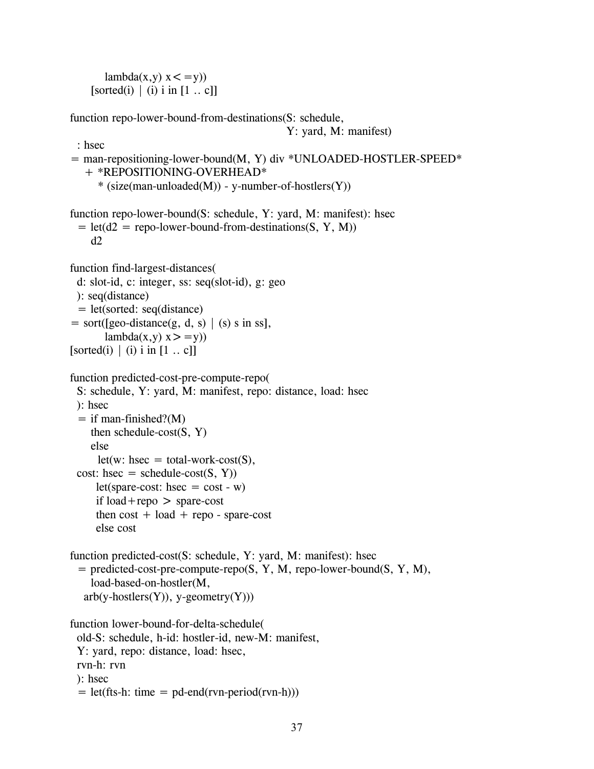$lambda(x,y)$   $x < =y)$ ) [sorted(i)  $\mid$  (i) i in [1 .. c]]

function repo-lower-bound-from-destinations(S: schedule,

```
Y: yard, M: manifest)
```

```
: hsec 
= man-repositioning-lower-bound(M, Y) div *UNLOADED-HOSTLER-SPEED* 
   + *REPOSITIONING-OVERHEAD* 
     *(size(max-unloaded(M)) - y-number-of-hostlers(Y))function repo-lower-bound(S: schedule, Y: yard, M: manifest): hsec 
 = let(d2 = repo-lower-bound-from-destinations(S, Y, M))
    d2function find-largest-distances( 
 d: slot-id, c: integer, ss: seq(slot-id), g: geo 
 ): seq(distance) 
 = let(sorted: seq(distance) 
= sort([geo-distance(g, d, s) | (s) s in ss],
       lambda(x,y) x > =y))
[sorted(i) \mid (i) i in [1 \dots c]]
function predicted-cost-pre-compute-repo( 
 S: schedule, Y: yard, M: manifest, repo: distance, load: hsec 
 ): hsec 
 = if man-finished?(M)
    then schedule-cost(S, Y)else 
     let(w: hsec = total-wordk-cost(S),cost: hsec = schedule-cost(S, Y))
     let(spare-cost: hsec = cost - w)
     if load+repo > spare-cost
     then cost + load + repo - spare-costelse cost 
function predicted-cost(S: schedule, Y: yard, M: manifest): hsec 
 = predicted-cost-pre-compute-repo(S, Y, M, repo-lower-bound(S, Y, M), 
    load-based-on-hostler(M, 
  arb(y-hostlers(Y)), y-geometry(Y))function lower-bound-for-delta-schedule( 
 old-S: schedule, h-id: hostler-id, new-M: manifest, 
 Y: yard, repo: distance, load: hsec, 
 rvn-h: rvn
```
- ): hsec
- $=$  let(fts-h: time  $=$  pd-end(rvn-period(rvn-h)))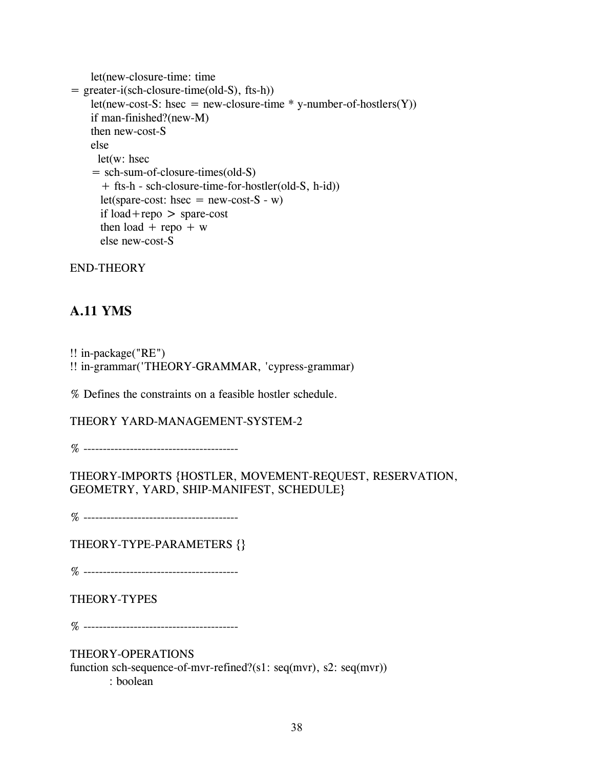```
let(new-closure-time: time 
= greater-i(sch-closure-time(old-S), fts-h)) 
    let(new-cost-S: hsec = new-closure-time * y-number-of-hostlers(Y))
    if man-finished?(new-M) 
    then new-cost-S 
    else 
     let(w: hsec 
    = sch-sum-of-closure-times(old-S) 
      + fts-h - sch-closure-time-for-hostler(old-S, h-id)) 
      let(spare-cost: hsec = new-cost-S - w)
      if load+repo > spare-cost
      then load + repo + w
      else new-cost-S
```
## **A.11 YMS**

!! in-package("RE") !! in-grammar('THEORY-GRAMMAR, 'cypress-grammar)

% Defines the constraints on a feasible hostler schedule.

THEORY YARD-MANAGEMENT-SYSTEM-2

% ----------------------------------------

THEORY-IMPORTS {HOSTLER, MOVEMENT-REQUEST, RESERVATION, GEOMETRY, YARD, SHIP-MANIFEST, SCHEDULE}

% ----------------------------------------

THEORY-TYPE-PARAMETERS {}

% ----------------------------------------

### THEORY-TYPES

% ----------------------------------------

THEORY-OPERATIONS

function sch-sequence-of-mvr-refined?(s1: seq(mvr), s2: seq(mvr)) : boolean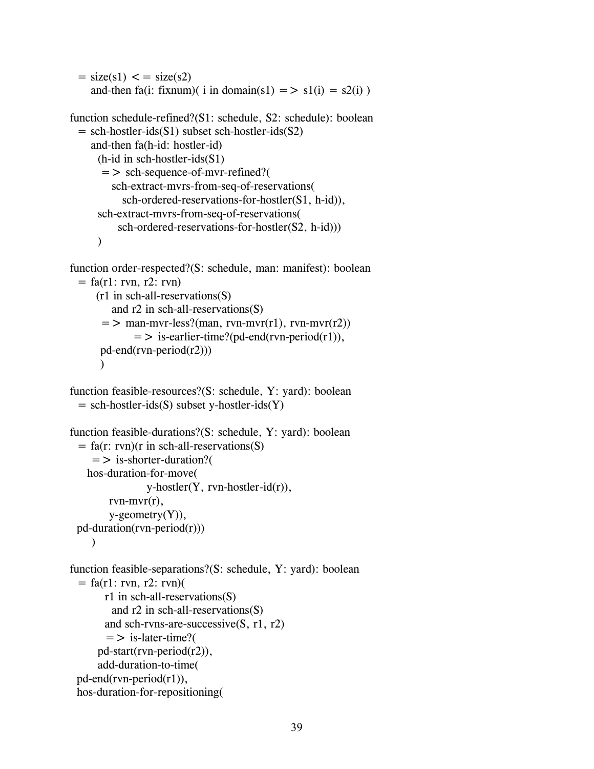```
= size(s1) \lt = size(s2)
  and-then fa(i: fixnum)( i in domain(s1) = > s1(i) = s2(i))
```

```
function schedule-refined?(S1: schedule, S2: schedule): boolean 
 = sch-hostler-ids(S1) subset sch-hostler-ids(S2)
    and-then fa(h-id: hostler-id) 
      (h-id in sch-hostler-ids(S1) 
       => sch-sequence-of-mvr-refined?( 
         sch-extract-mvrs-from-seq-of-reservations( 
           sch-ordered-reservations-for-hostler(S1, h-id)), 
      sch-extract-mvrs-from-seq-of-reservations( 
          sch-ordered-reservations-for-hostler(S2, h-id))) 
      \lambda
```

```
function order-respected?(S: schedule, man: manifest): boolean 
 = fa(r1: rvn, r2: rvn)
     (r1 in sch-all-reservations(S) 
        and r2 in sch-all-reservations(S) 
      = > man-mvr-less?(man, rvn-mvr(r1), rvn-mvr(r2))
              = > is-earlier-time?(pd-end(rvn-period(r1)),
      pd-end(rvn-period(r2))) 
      \lambda
```

```
function feasible-resources?(S: schedule, Y: yard): boolean 
 = sch-hostler-ids(S) subset y-hostler-ids(Y)
```

```
function feasible-durations?(S: schedule, Y: yard): boolean 
 = fa(r: rvn)(r in sch-all-reservations(S)
     => is-shorter-duration?( 
   hos-duration-for-move( 
                y-hostler(Y, rvn-hostler-id(r)), 
        rvn-mvr(r),
        y-geometry(Y)), 
 pd-duration(rvn-period(r))) 
    \lambda
```

```
function feasible-separations?(S: schedule, Y: yard): boolean 
 = fa(r1: rvn, r2: rvn)(
       r1 in sch-all-reservations(S) 
         and r2 in sch-all-reservations(S) 
       and sch-rvns-are-successive(S, r1, r2) 
       = > is-later-time?(
      pd-start(rvn-period(r2)), 
      add-duration-to-time( 
 pd-end(rvn-period(r1)), 
 hos-duration-for-repositioning(
```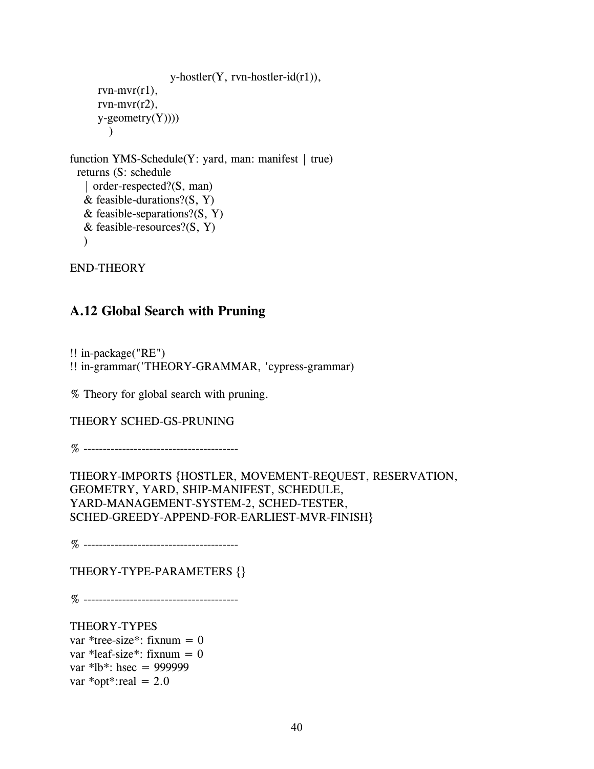```
y-hostler(Y, rvn-hostler-id(r1)),
      rvn-mvr(r1),
      rvn-mvr(r2), 
      y-geometry(Y)))
        \mathcal{L}function YMS-Schedule(Y: yard, man: manifest | true)
 returns (S: schedule 
   | order-respected?(S, man) 
   & feasible-durations?(S, Y)
   & feasible-separations?(S, Y)
   & feasible-resources?(S, Y)
   \lambda
```
## **A.12 Global Search with Pruning**

!! in-package("RE") !! in-grammar('THEORY-GRAMMAR, 'cypress-grammar)

% Theory for global search with pruning.

THEORY SCHED-GS-PRUNING

% ----------------------------------------

THEORY-IMPORTS {HOSTLER, MOVEMENT-REQUEST, RESERVATION, GEOMETRY, YARD, SHIP-MANIFEST, SCHEDULE, YARD-MANAGEMENT-SYSTEM-2, SCHED-TESTER, SCHED-GREEDY-APPEND-FOR-EARLIEST-MVR-FINISH}

% ----------------------------------------

THEORY-TYPE-PARAMETERS {}

% ----------------------------------------

THEORY-TYPES var \*tree-size\*: fixnum =  $0$ var \*leaf-size\*: fixnum =  $0$ var \*lb\*: hsec = 999999 var \*opt\*:real =  $2.0$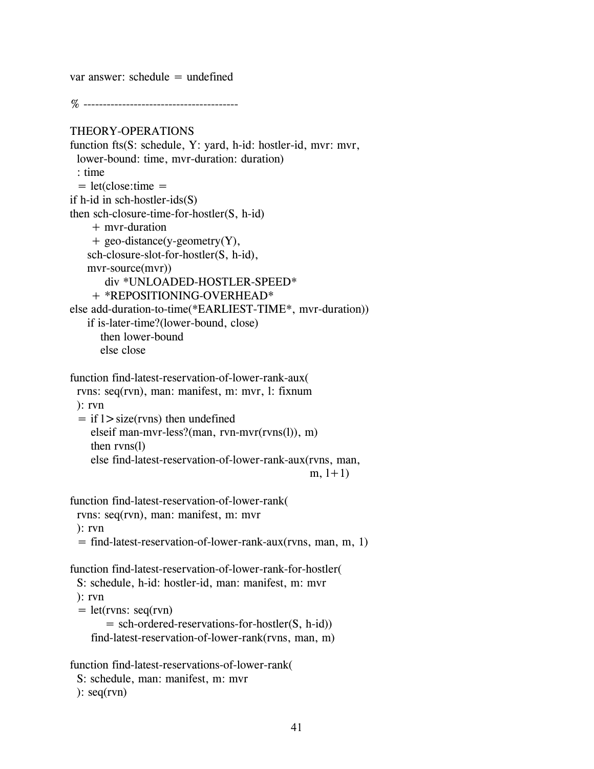var answer: schedule = undefined

% ----------------------------------------

```
THEORY-OPERATIONS 
function fts(S: schedule, Y: yard, h-id: hostler-id, mvr: mvr, 
 lower-bound: time, mvr-duration: duration) 
 : time 
 = let(close:time =if h-id in sch-hostler-ids(S) 
then sch-closure-time-for-hostler(S, h-id) 
    + mvr-duration 
    + geo-distance(y-geometry(Y), 
   sch-closure-slot-for-hostler(S, h-id), 
   mvr-source(mvr)) 
       div *UNLOADED-HOSTLER-SPEED* 
    + *REPOSITIONING-OVERHEAD* 
else add-duration-to-time(*EARLIEST-TIME*, mvr-duration)) 
   if is-later-time?(lower-bound, close) 
      then lower-bound 
      else close 
function find-latest-reservation-of-lower-rank-aux( 
 rvns: seq(rvn), man: manifest, m: mvr, l: fixnum 
 ): rvn 
 = if 1 > size(rvns) then undefined
    elseif man-mvr-less?(man, rvn-mvr(rvns(l)), m) 
    then rvns(l) 
    else find-latest-reservation-of-lower-rank-aux(rvns, man, 
                                                  m, 1+1)
function find-latest-reservation-of-lower-rank( 
 rvns: seq(rvn), man: manifest, m: mvr 
 ): rvn 
 = find-latest-reservation-of-lower-rank-aux(rvns, man, m, 1) 
function find-latest-reservation-of-lower-rank-for-hostler( 
 S: schedule, h-id: hostler-id, man: manifest, m: mvr 
 ): rvn 
 = let(rvns: seq(rvn)
       = sch-ordered-reservations-for-hostler(S, h-id)) 
    find-latest-reservation-of-lower-rank(rvns, man, m) 
function find-latest-reservations-of-lower-rank( 
 S: schedule, man: manifest, m: mvr
```

```
\left( \text{reg}(r \vee n) \right)
```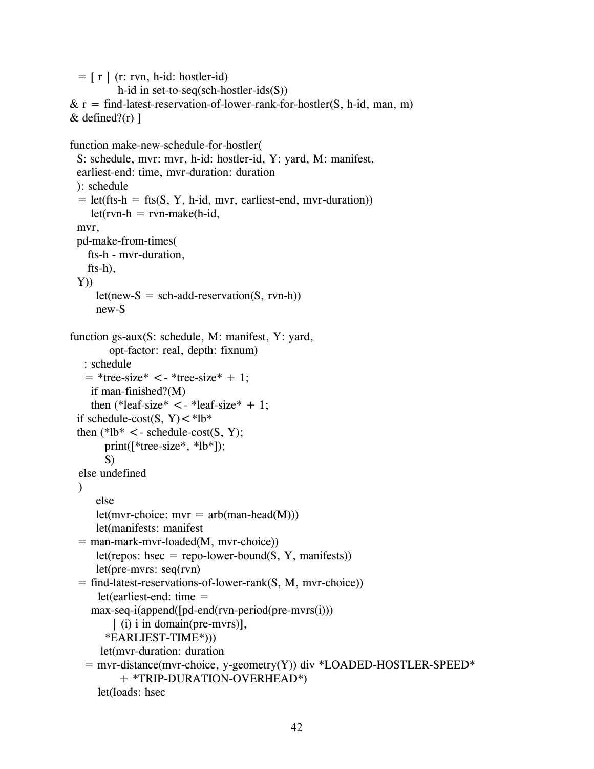```
= [\rceil \rceil (r: rvn, h-id: hostler-id)
          h-id in set-to-seq(sch-hostler-ids(S)) 
& r = find\text{-}latest\text{-}reservation\text{-}of\text{-}lower\text{-}rank\text{-}for\text{-}hostler(S, h-id, man, m)& defined?(r)]
function make-new-schedule-for-hostler( 
 S: schedule, mvr: mvr, h-id: hostler-id, Y: yard, M: manifest, 
 earliest-end: time, mvr-duration: duration 
 ): schedule 
 = let(fts-h = fts(S, Y, h-id, mvr, earliest-end, mvr-duration))
    let(rvn-h = rvn-make(h-id,mvr, 
 pd-make-from-times( 
   fts-h - mvr-duration, 
   fts-h), 
 Y)let(new-S = sch-add-reservation(S, rvn-h))new-S 
function gs-aux(S: schedule, M: manifest, Y: yard, 
        opt-factor: real, depth: fixnum) 
   : schedule 
   = *tree-size* \lt - *tree-size* + 1;
    if man-finished?(M) 
    then (*leaf-size* \lt - *leaf-size* + 1;
 if schedule-cost(S, Y)\lt^*lb*
 then (*1b* < -schedule-cost(S, Y);print([*tree-size*, *lb*]); 
       S) 
 else undefined 
 \lambdaelse 
     let(mvr-choice: mvr = arb(\text{man-head}(M)))
     let(manifests: manifest 
 = man-mark-mvr-loaded(M, mvr-choice))
     let(repos: hsec = repo-lower-bound(S, Y, manifests))
     let(pre-mvrs: seq(rvn) 
 = find-latest-reservations-of-lower-rank(S, M, mvr-choice)) 
      let(earliest-end: time =max-seq-i(append([pd-end(rvn-period(pre-mvrs(i))) 
         | (i) i in domain(pre-mvrs)], 
       *EARLIEST-TIME*))) 
      let(mvr-duration: duration 
   = mvr-distance(mvr-choice, y-geometry(Y)) div *LOADED-HOSTLER-SPEED*
          + *TRIP-DURATION-OVERHEAD*) 
      let(loads: hsec
```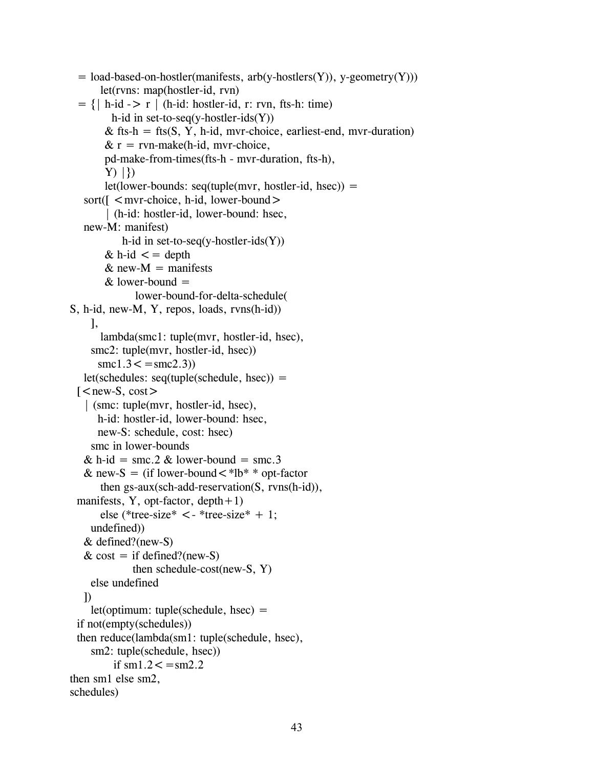```
= load-based-on-hostler(manifests, arb(y-hostlers(Y)), y-geometry(Y)))
      let(rvns: map(hostler-id, rvn) 
 = \{ | h-id \rightarrow r | (h-id: hostler-id, r: rvn, fts-h: time) \}h-id in set-to-seq(y-hostler-ids(Y))
       & fts-h = fts(S, Y, h-id, mvr-choice, earliest-end, mvr-duration)
       & r = \text{rvn-make(h-id, mvr-choice,})pd-make-from-times(fts-h - mvr-duration, fts-h), 
       Y) |\}let(lower-bounds: seq(tuple(mvr, hostler-id, hsec)) =sort(\lceil < mvr-choice, h-id, lower-bound >
        | (h-id: hostler-id, lower-bound: hsec, 
   new-M: manifest) 
           h-id in set-to-seq(y-hostler-ids(Y))
       & h-id < = depth
       & new-M = manifests
       & lower-bound =lower-bound-for-delta-schedule( 
S, h-id, new-M, Y, repos, loads, rvns(h-id)) 
    ], 
      lambda(smc1: tuple(mvr, hostler-id, hsec), 
    smc2: tuple(mvr, hostler-id, hsec))
      smc1.3 \leq =smc2.3)
   let(schedules: seq(tuple(schedule, hsec)) =\lceil < new-S, cost >
   | (smc: tuple(mvr, hostler-id, hsec), 
      h-id: hostler-id, lower-bound: hsec, 
      new-S: schedule, cost: hsec) 
    smc in lower-bounds 
   & h-id = smc.2 & lower-bound = smc.3
   & new-S = (if lower-bound \lt *lb* * opt-factor
      then gs-aux(sch-add-reservation(S, rvns(h-id)), 
 manifests, Y, opt-factor, depth + 1)else (*tree-size* \lt - *tree-size* + 1;
    undefined)) 
   & defined?(new-S) 
   & cost = if defined?(new-S)
             then schedule-cost(new-S, Y) 
    else undefined 
  ]) 
    let(optimum: tuple(scheduledue, hsec) =if not(empty(schedules)) 
 then reduce(lambda(sm1: tuple(schedule, hsec), 
    sm2: tuple(schedule, hsec)) 
         if \text{sm1.2} \leq \text{sm2.2}then sm1 else sm2, 
schedules)
```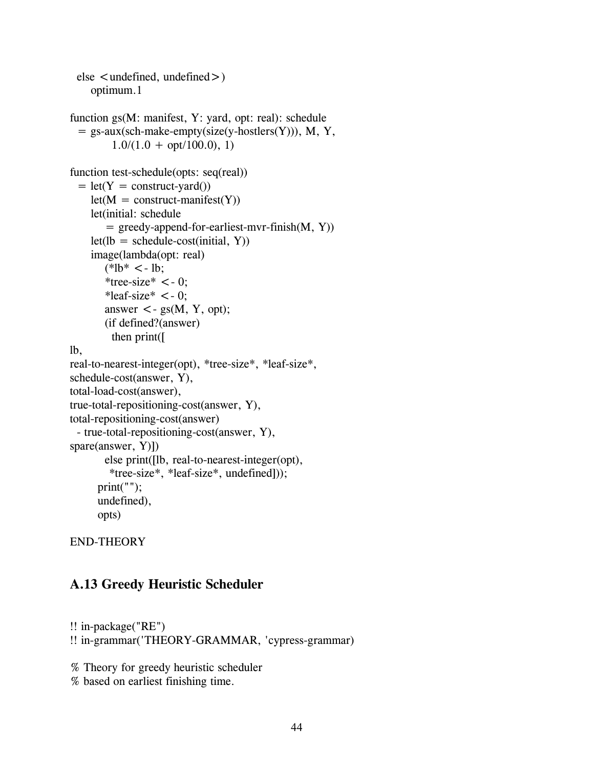```
else < undefined, undefined >)
    optimum.1 
function gs(M: manifest, Y: yard, opt: real): schedule 
  = gs-aux(sch-make-empty(size(y-hostlers(Y))), M, Y, 
         1.0/(1.0 + opt/100.0), 1function test-schedule(opts: seq(real)) 
 = let(Y = construct-yard())
    let(M = construct-manifest(Y)) let(initial: schedule 
       = greedy-append-for-earliest-mvr-finish(M, Y))
    let(lb = schedule-cost (initial, Y)) image(lambda(opt: real) 
       (*lb* < - lb; )*tree-size* <-0;
       *leaf-size* <-0;
       answer \lt- gs(M, Y, opt);
        (if defined?(answer) 
          then print([ 
lb, 
real-to-nearest-integer(opt), *tree-size*, *leaf-size*, 
schedule-cost(answer, Y), 
total-load-cost(answer), 
true-total-repositioning-cost(answer, Y), 
total-repositioning-cost(answer) 
 - true-total-repositioning-cost(answer, Y), 
spare(answer, Y)]) 
       else print([lb, real-to-nearest-integer(opt), 
        *tree-size*, *leaf-size*, undefined])); 
      print("");
      undefined), 
      opts)
```
## **A.13 Greedy Heuristic Scheduler**

```
!! in-package("RE") 
!! in-grammar('THEORY-GRAMMAR, 'cypress-grammar)
```
% Theory for greedy heuristic scheduler

```
% based on earliest finishing time.
```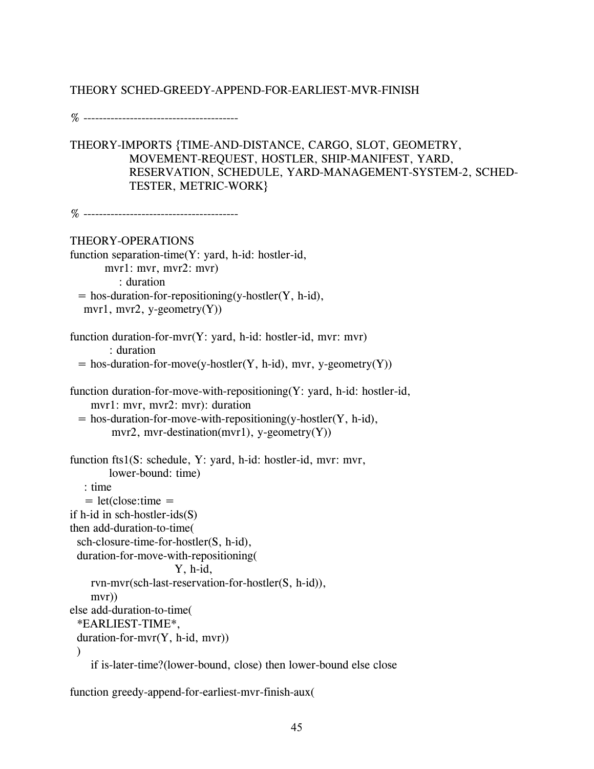### THEORY SCHED-GREEDY-APPEND-FOR-EARLIEST-MVR-FINISH

% ----------------------------------------

THEORY-IMPORTS {TIME-AND-DISTANCE, CARGO, SLOT, GEOMETRY, MOVEMENT-REQUEST, HOSTLER, SHIP-MANIFEST, YARD, RESERVATION, SCHEDULE, YARD-MANAGEMENT-SYSTEM-2, SCHED-TESTER, METRIC-WORK}

% ----------------------------------------

THEORY-OPERATIONS

```
function separation-time(Y: yard, h-id: hostler-id, 
       mvr1: mvr, mvr2: mvr) 
          : duration 
 = hos-duration-for-repositioning(y-hostler(Y, h-id),
  mvr1, mvr2, y-geometry(Y))
```

```
function duration-for-mvr(Y: yard, h-id: hostler-id, mvr: mvr) 
        : duration
```

```
= hos-duration-for-move(y-hostler(Y, h-id), mvr, y-geometry(Y))
```

```
function duration-for-move-with-repositioning(Y: yard, h-id: hostler-id, 
    mvr1: mvr, mvr2: mvr): duration
```

```
= hos-duration-for-move-with-repositioning(y-hostler(Y, h-id),
      mvr2, mvr-destination(mvr1), y-geometry(Y))
```

```
function fts1(S: schedule, Y: yard, h-id: hostler-id, mvr: mvr, 
        lower-bound: time)
```
: time

```
= let(close:time =
```

```
if h-id in sch-hostler-ids(S)
```

```
then add-duration-to-time(
```

```
sch-closure-time-for-hostler(S, h-id),
```

```
duration-for-move-with-repositioning(
```

```
Y, h-id,
```
rvn-mvr(sch-last-reservation-for-hostler(S, h-id)),

```
mvr))
```

```
else add-duration-to-time(
```
\*EARLIEST-TIME\*,

```
duration-for-mvr(Y, h-id, mvr)
```

```
\mathcal{L}
```
if is-later-time?(lower-bound, close) then lower-bound else close

function greedy-append-for-earliest-mvr-finish-aux(